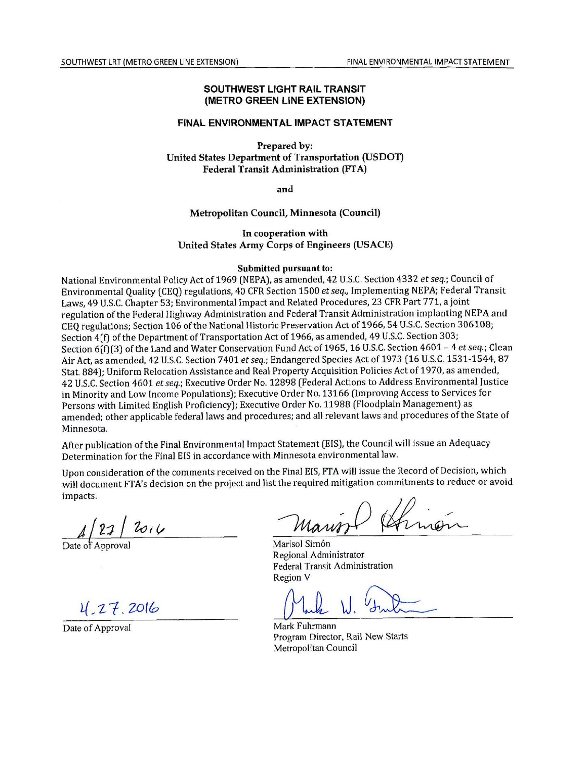#### SOUTHWEST LIGHT RAIL TRANSIT (METRO GREEN LINE EXTENSION)

#### FINAL ENVIRONMENTAL IMPACT STATEMENT

Prepared by: United States Department of Transportation (US DOT) Federal Transit Administration (FT A)

and

Metropolitan Council, Minnesota (Council)

In cooperation with United States Army Corps of Engineers (USACE)

#### Submitted pursuant to:

National Environmental Policy Act of 1969 (NEPA), as amended, 42 U.S.C. Section 4332 *et seq.;* Council of Environmental Quality (CEQ) regulations, 40 CFR Section 1500 *et seq.,* Implementing NEPA; Federal Transit Laws, 49 U.S.C. Chapter 53; Environmental Impact and Related Procedures, 23 CFR Part 771, a joint regulation of the Federal Highway Administration and Federal Transit Administration implanting NEPA and CEQ regulations; Section 106 of the National Historic Preservation Act of 1966, 54 U.S.C. Section 306108; Section 4(f) of the Department of Transportation Act of 1966, as amended, 49 U.S.C. Section 303; Section 6(f)(3) of the Land and Water Conservation Fund Act of 1965, 16 U.S.C. Section 4601 - 4 *et seq.;* Clean Air Act, as amended, 42 U.S.C. Section 7401 *et seq.;* Endangered Species Act of 1973 (16 U.S.C. 1531-1544, 87 Stat. 884 ); Uniform Relocation Assistance and Real Property Acquisition Policies Act of 1970, as amended, 42 U.S.C. Section 4601 *et seq.;* Executive Order No. 12898 (Federal Actions to Address Environmental Justice in Minority and Low Income Populations); Executive Order No. 13166 (Improving Access to Services for Persons with Limited English Proficiency); Executive Order No. 11988 (Floodplain Management) as amended; other applicable federal laws and procedures; and all relevant laws and procedures of the State of Minnesota.

After publication of the Final Environmental Impact Statement (EIS), the Council will issue an Adequacy Determination for the Final EIS in accordance with Minnesota environmental law.

Upon consideration of the comments received on the Final EIS, FTA will issue the Record of Decision, which will document FTA's decision on the project and list the required mitigation commitments to reduce or avoid impacts.

 $\frac{1}{\text{Date of Approach}}$ 

4.27.2016

Date of Approval

Marin

Marisol Simón Regional Administrator Federal Transit Administration Region V

Mark W. G.

Mark Fuhrmann Program Director, Rail New Starts Metropolitan Council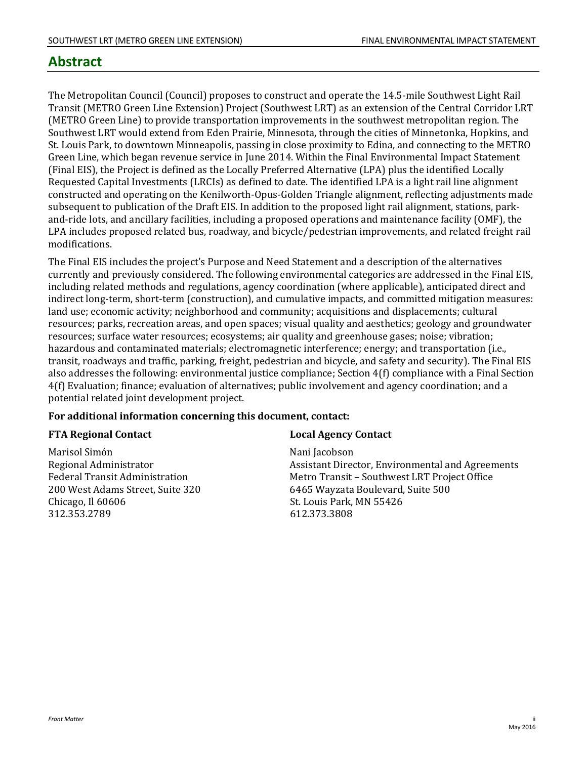# **Abstract**

The Metropolitan Council (Council) proposes to construct and operate the 14.5-mile Southwest Light Rail Transit (METRO Green Line Extension) Project (Southwest LRT) as an extension of the Central Corridor LRT (METRO Green Line) to provide transportation improvements in the southwest metropolitan region. The Southwest LRT would extend from Eden Prairie, Minnesota, through the cities of Minnetonka, Hopkins, and St. Louis Park, to downtown Minneapolis, passing in close proximity to Edina, and connecting to the METRO Green Line, which began revenue service in June 2014. Within the Final Environmental Impact Statement (Final EIS), the Project is defined as the Locally Preferred Alternative (LPA) plus the identified Locally Requested Capital Investments (LRCIs) as defined to date. The identified LPA is a light rail line alignment constructed and operating on the Kenilworth-Opus-Golden Triangle alignment, reflecting adjustments made subsequent to publication of the Draft EIS. In addition to the proposed light rail alignment, stations, parkand-ride lots, and ancillary facilities, including a proposed operations and maintenance facility (OMF), the LPA includes proposed related bus, roadway, and bicycle/ pedestrian improvements, and related freight rail modifications.

The Final EIS includes the project's Purpose and Need Statement and a description of the alternatives currently and previously considered. The following environmental categories are addressed in the Final EIS, including related methods and regulations, agency coordination (where applicable), anticipated direct and indirect long-term, short-term (construction), and cumulative impacts, and committed mitigation measures: land use; economic activity; neighborhood and community; acquisitions and displacements; cultural resources; parks, recreation areas, and open spaces; visual quality and aesthetics; geology and groundwater resources; surface water resources; ecosystems; air quality and greenhouse gases; noise; vibration; hazardous and contaminated materials; electromagnetic interference; energy; and transportation (i.e., transit, roadways and traffic, parking, freight, pedestrian and bicycle, and safety and security). The Final EIS also addresses the following: environmental justice compliance; Section 4(f) compliance with a Final Section 4(f) Evaluation; finance; evaluation of alternatives; public involvement and agency coordination; and a potential related joint development project.

# **For additional information concerning this document, contact:**

# **FTA Regional Contact Local Agency Contact**

Marisol Simόn Nani Jacobson 312.353.2789

Regional Administrator **Assistant Director, Environmental and Agreements**<br>Federal Transit Administration **Assistant Director, Environmental and Agreements** Federal Transit Administration Metro Transit – Southwest LRT Project Office 200 West Adams Street, Suite 320<br>
Chicago, Il 60606<br>
St. Louis Park, MN 55426 St. Louis Park, MN 55426<br>612.373.3808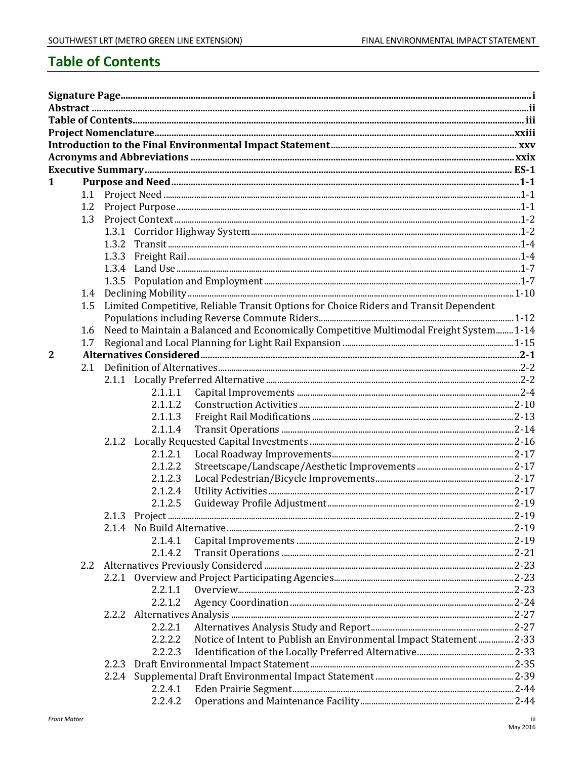# **Table of Contents**

| 1            |     |                    |                                                                                         |  |
|--------------|-----|--------------------|-----------------------------------------------------------------------------------------|--|
|              | 1.1 |                    |                                                                                         |  |
|              | 1.2 |                    |                                                                                         |  |
|              | 1.3 |                    |                                                                                         |  |
|              |     |                    |                                                                                         |  |
|              |     |                    |                                                                                         |  |
|              |     |                    |                                                                                         |  |
|              |     |                    |                                                                                         |  |
|              |     |                    |                                                                                         |  |
|              | 1.4 |                    |                                                                                         |  |
|              | 1.5 |                    | Limited Competitive, Reliable Transit Options for Choice Riders and Transit Dependent   |  |
|              |     |                    |                                                                                         |  |
|              | 1.6 |                    | Need to Maintain a Balanced and Economically Competitive Multimodal Freight System 1-14 |  |
|              | 1.7 |                    |                                                                                         |  |
| $\mathbf{2}$ |     |                    |                                                                                         |  |
|              | 2.1 |                    |                                                                                         |  |
|              |     |                    |                                                                                         |  |
|              |     | 2.1.1.1            |                                                                                         |  |
|              |     | 2.1.1.2<br>2.1.1.3 |                                                                                         |  |
|              |     | 2.1.1.4            |                                                                                         |  |
|              |     |                    |                                                                                         |  |
|              |     | 2.1.2.1            |                                                                                         |  |
|              |     | 2.1.2.2            |                                                                                         |  |
|              |     | 2.1.2.3            |                                                                                         |  |
|              |     | 2.1.2.4            |                                                                                         |  |
|              |     | 2.1.2.5            |                                                                                         |  |
|              |     |                    |                                                                                         |  |
|              |     |                    |                                                                                         |  |
|              |     | 2.1.4.1            |                                                                                         |  |
|              |     | 2.1.4.2            |                                                                                         |  |
|              |     |                    |                                                                                         |  |
|              |     |                    |                                                                                         |  |
|              |     | 2.2.1.1            |                                                                                         |  |
|              |     | 2.2.1.2            |                                                                                         |  |
|              |     |                    |                                                                                         |  |
|              |     | 2.2.2.1            |                                                                                         |  |
|              |     | 2.2.2.2            | Notice of Intent to Publish an Environmental Impact Statement 2-33                      |  |
|              |     | 2.2.2.3            |                                                                                         |  |
|              |     |                    |                                                                                         |  |
|              |     |                    |                                                                                         |  |
|              |     | 2.2.4.1            |                                                                                         |  |
|              |     | 2.2.4.2            |                                                                                         |  |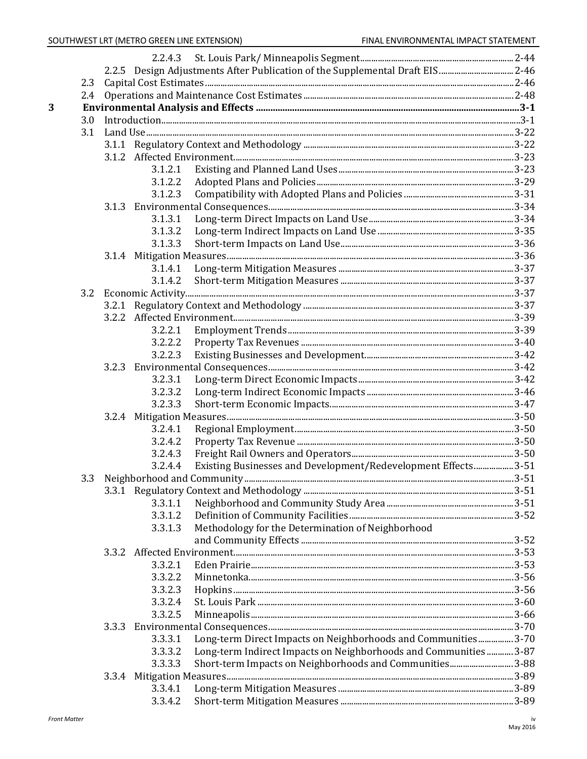|   |     | 2.2.4.3 |                                                                  |  |
|---|-----|---------|------------------------------------------------------------------|--|
|   |     |         |                                                                  |  |
|   | 2.3 |         |                                                                  |  |
|   | 2.4 |         |                                                                  |  |
| 3 |     |         |                                                                  |  |
|   | 3.0 |         | $Introduction 3-1$                                               |  |
|   | 3.1 |         |                                                                  |  |
|   |     |         |                                                                  |  |
|   |     |         |                                                                  |  |
|   |     | 3.1.2.1 |                                                                  |  |
|   |     | 3.1.2.2 |                                                                  |  |
|   |     | 3.1.2.3 |                                                                  |  |
|   |     |         |                                                                  |  |
|   |     | 3.1.3.1 |                                                                  |  |
|   |     | 3.1.3.2 |                                                                  |  |
|   |     | 3.1.3.3 |                                                                  |  |
|   |     |         |                                                                  |  |
|   |     | 3.1.4.1 |                                                                  |  |
|   |     | 3.1.4.2 |                                                                  |  |
|   | 3.2 |         |                                                                  |  |
|   |     |         |                                                                  |  |
|   |     |         |                                                                  |  |
|   |     | 3.2.2.1 |                                                                  |  |
|   |     | 3.2.2.2 |                                                                  |  |
|   |     | 3.2.2.3 |                                                                  |  |
|   |     |         |                                                                  |  |
|   |     | 3.2.3.1 |                                                                  |  |
|   |     | 3.2.3.2 |                                                                  |  |
|   |     | 3.2.3.3 |                                                                  |  |
|   |     |         |                                                                  |  |
|   |     | 3.2.4.1 |                                                                  |  |
|   |     | 3.2.4.2 |                                                                  |  |
|   |     | 3.2.4.3 |                                                                  |  |
|   |     | 3.2.4.4 | Existing Businesses and Development/Redevelopment Effects3-51    |  |
|   |     |         |                                                                  |  |
|   |     |         |                                                                  |  |
|   |     | 3.3.1.1 |                                                                  |  |
|   |     | 3.3.1.2 |                                                                  |  |
|   |     | 3.3.1.3 | Methodology for the Determination of Neighborhood                |  |
|   |     |         |                                                                  |  |
|   |     |         |                                                                  |  |
|   |     | 3.3.2.1 |                                                                  |  |
|   |     | 3.3.2.2 |                                                                  |  |
|   |     | 3.3.2.3 |                                                                  |  |
|   |     | 3.3.2.4 |                                                                  |  |
|   |     | 3.3.2.5 |                                                                  |  |
|   |     |         |                                                                  |  |
|   |     | 3.3.3.1 | Long-term Direct Impacts on Neighborhoods and Communities 3-70   |  |
|   |     | 3.3.3.2 | Long-term Indirect Impacts on Neighborhoods and Communities 3-87 |  |
|   |     | 3.3.3.3 | Short-term Impacts on Neighborhoods and Communities 3-88         |  |
|   |     |         |                                                                  |  |
|   |     | 3.3.4.1 |                                                                  |  |
|   |     | 3.3.4.2 |                                                                  |  |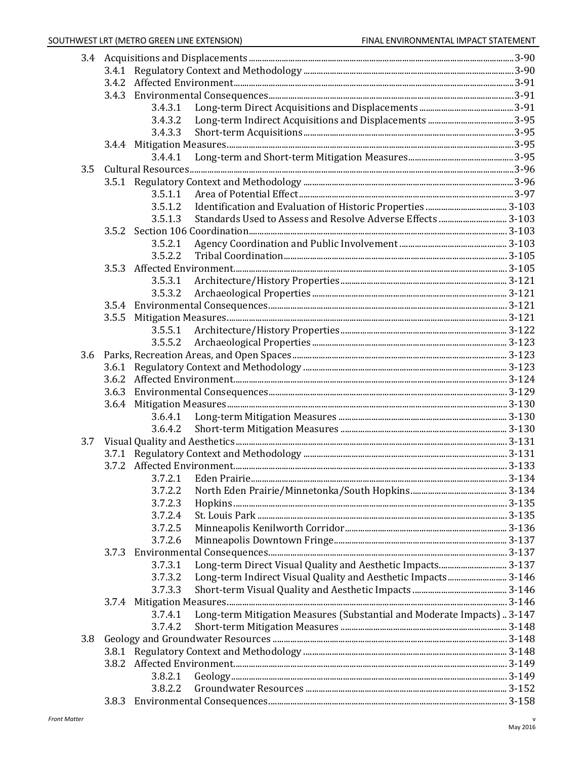|     | 3.4.1 |         |                                                                         |  |
|-----|-------|---------|-------------------------------------------------------------------------|--|
|     | 3.4.2 |         |                                                                         |  |
|     | 3.4.3 |         |                                                                         |  |
|     |       | 3.4.3.1 |                                                                         |  |
|     |       | 3.4.3.2 |                                                                         |  |
|     |       | 3.4.3.3 |                                                                         |  |
|     |       |         |                                                                         |  |
|     |       | 3.4.4.1 |                                                                         |  |
| 3.5 |       |         |                                                                         |  |
|     |       |         |                                                                         |  |
|     |       | 3.5.1.1 |                                                                         |  |
|     |       | 3.5.1.2 |                                                                         |  |
|     |       | 3.5.1.3 | Standards Used to Assess and Resolve Adverse Effects  3-103             |  |
|     |       |         |                                                                         |  |
|     |       | 3.5.2.1 |                                                                         |  |
|     |       | 3.5.2.2 |                                                                         |  |
|     |       |         |                                                                         |  |
|     |       | 3.5.3.1 |                                                                         |  |
|     |       | 3.5.3.2 |                                                                         |  |
|     |       |         |                                                                         |  |
|     | 3.5.5 |         |                                                                         |  |
|     |       | 3.5.5.1 |                                                                         |  |
|     |       | 3.5.5.2 |                                                                         |  |
| 3.6 |       |         |                                                                         |  |
|     |       |         |                                                                         |  |
|     |       |         |                                                                         |  |
|     |       |         |                                                                         |  |
|     | 3.6.4 |         |                                                                         |  |
|     |       | 3.6.4.1 |                                                                         |  |
|     |       | 3.6.4.2 |                                                                         |  |
| 3.7 |       |         |                                                                         |  |
|     |       |         |                                                                         |  |
|     |       |         |                                                                         |  |
|     |       |         |                                                                         |  |
|     |       | 3.7.2.2 |                                                                         |  |
|     |       | 3.7.2.3 |                                                                         |  |
|     |       | 3.7.2.4 |                                                                         |  |
|     |       | 3.7.2.5 |                                                                         |  |
|     |       | 3.7.2.6 |                                                                         |  |
|     | 3.7.3 |         |                                                                         |  |
|     |       | 3.7.3.1 |                                                                         |  |
|     |       | 3.7.3.2 |                                                                         |  |
|     |       | 3.7.3.3 |                                                                         |  |
|     |       |         |                                                                         |  |
|     |       | 3.7.4.1 | Long-term Mitigation Measures (Substantial and Moderate Impacts)  3-147 |  |
|     |       | 3.7.4.2 |                                                                         |  |
| 3.8 |       |         |                                                                         |  |
|     |       |         |                                                                         |  |
|     | 3.8.2 |         |                                                                         |  |
|     |       | 3.8.2.1 |                                                                         |  |
|     |       | 3.8.2.2 |                                                                         |  |
|     | 3.8.3 |         |                                                                         |  |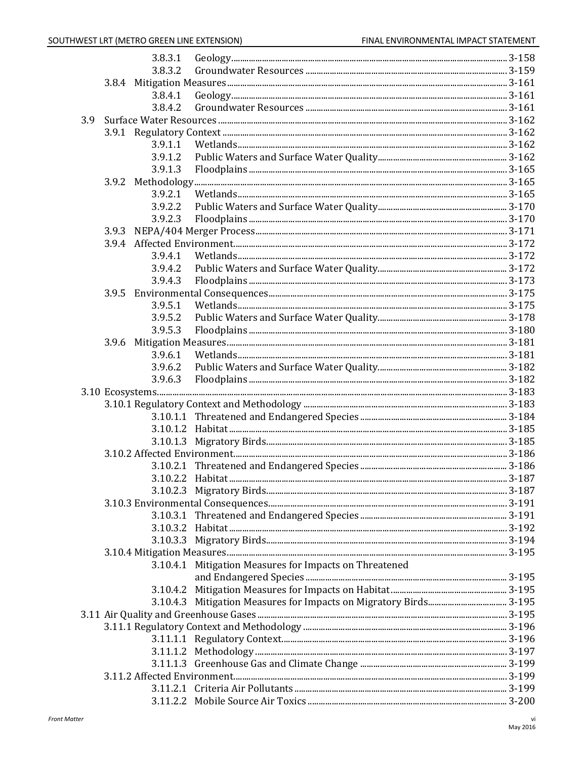|     |       | 3.8.3.1 |                                                        |  |
|-----|-------|---------|--------------------------------------------------------|--|
|     |       | 3.8.3.2 |                                                        |  |
|     |       |         |                                                        |  |
|     |       | 3.8.4.1 |                                                        |  |
|     |       | 3.8.4.2 |                                                        |  |
| 3.9 |       |         |                                                        |  |
|     |       |         |                                                        |  |
|     |       | 3.9.1.1 |                                                        |  |
|     |       | 3.9.1.2 |                                                        |  |
|     |       | 3.9.1.3 |                                                        |  |
|     |       |         |                                                        |  |
|     |       | 3.9.2.1 |                                                        |  |
|     |       | 3.9.2.2 |                                                        |  |
|     |       | 3.9.2.3 |                                                        |  |
|     | 3.9.3 |         |                                                        |  |
|     |       |         |                                                        |  |
|     |       | 3.9.4.1 |                                                        |  |
|     |       | 3.9.4.2 |                                                        |  |
|     |       | 3.9.4.3 |                                                        |  |
|     |       |         |                                                        |  |
|     |       | 3.9.5.1 |                                                        |  |
|     |       | 3.9.5.2 |                                                        |  |
|     |       | 3.9.5.3 |                                                        |  |
|     |       |         |                                                        |  |
|     |       | 3.9.6.1 |                                                        |  |
|     |       | 3.9.6.2 |                                                        |  |
|     |       | 3.9.6.3 |                                                        |  |
|     |       |         |                                                        |  |
|     |       |         |                                                        |  |
|     |       |         |                                                        |  |
|     |       |         |                                                        |  |
|     |       |         |                                                        |  |
|     |       |         |                                                        |  |
|     |       |         |                                                        |  |
|     |       |         |                                                        |  |
|     |       |         |                                                        |  |
|     |       |         |                                                        |  |
|     |       |         |                                                        |  |
|     |       |         |                                                        |  |
|     |       |         |                                                        |  |
|     |       |         |                                                        |  |
|     |       |         | 3.10.4.1 Mitigation Measures for Impacts on Threatened |  |
|     |       |         |                                                        |  |
|     |       |         |                                                        |  |
|     |       |         |                                                        |  |
|     |       |         |                                                        |  |
|     |       |         |                                                        |  |
|     |       |         |                                                        |  |
|     |       |         |                                                        |  |
|     |       |         |                                                        |  |
|     |       |         |                                                        |  |
|     |       |         |                                                        |  |
|     |       |         |                                                        |  |
|     |       |         |                                                        |  |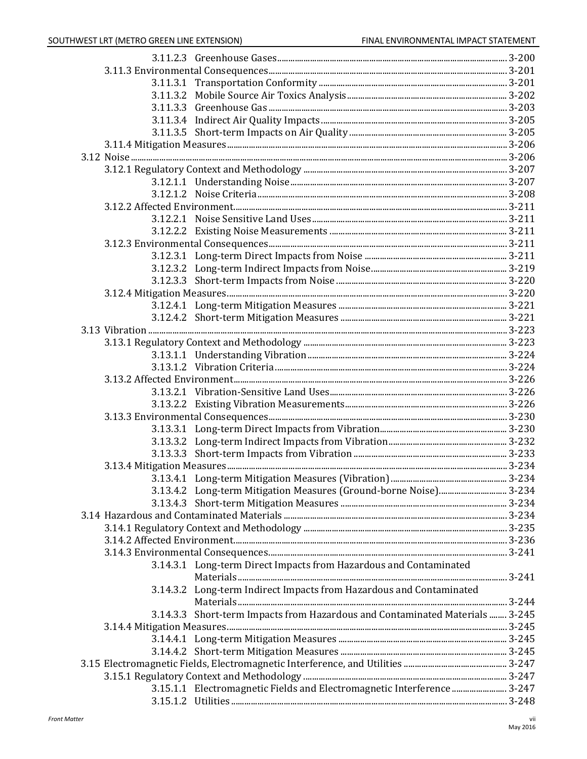| 3.13.4.2 Long-term Mitigation Measures (Ground-borne Noise) 3-234            |  |
|------------------------------------------------------------------------------|--|
|                                                                              |  |
|                                                                              |  |
|                                                                              |  |
|                                                                              |  |
|                                                                              |  |
| 3.14.3.1 Long-term Direct Impacts from Hazardous and Contaminated            |  |
|                                                                              |  |
| 3.14.3.2 Long-term Indirect Impacts from Hazardous and Contaminated          |  |
|                                                                              |  |
| 3.14.3.3 Short-term Impacts from Hazardous and Contaminated Materials  3-245 |  |
|                                                                              |  |
|                                                                              |  |
|                                                                              |  |
|                                                                              |  |
|                                                                              |  |
| 3.15.1.1 Electromagnetic Fields and Electromagnetic Interference  3-247      |  |
|                                                                              |  |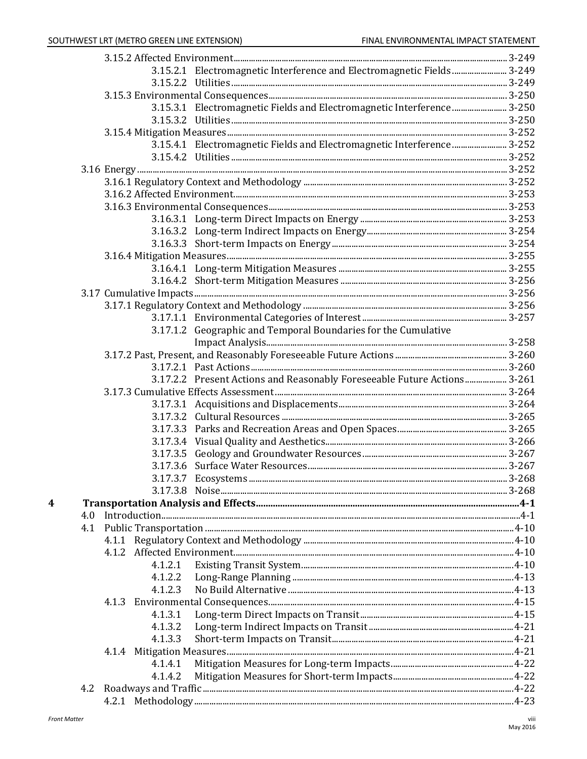|     |         | 3.15.2.1 Electromagnetic Interference and Electromagnetic Fields 3-249   |  |
|-----|---------|--------------------------------------------------------------------------|--|
|     |         |                                                                          |  |
|     |         |                                                                          |  |
|     |         | 3.15.3.1 Electromagnetic Fields and Electromagnetic Interference  3-250  |  |
|     |         |                                                                          |  |
|     |         |                                                                          |  |
|     |         | 3-252. Electromagnetic Fields and Electromagnetic Interference  3-252    |  |
|     |         |                                                                          |  |
|     |         |                                                                          |  |
|     |         |                                                                          |  |
|     |         |                                                                          |  |
|     |         |                                                                          |  |
|     |         |                                                                          |  |
|     |         |                                                                          |  |
|     |         |                                                                          |  |
|     |         |                                                                          |  |
|     |         |                                                                          |  |
|     |         |                                                                          |  |
|     |         |                                                                          |  |
|     |         |                                                                          |  |
|     |         |                                                                          |  |
|     |         |                                                                          |  |
|     |         | 3.17.1.2 Geographic and Temporal Boundaries for the Cumulative           |  |
|     |         |                                                                          |  |
|     |         |                                                                          |  |
|     |         |                                                                          |  |
|     |         | 3.17.2.2 Present Actions and Reasonably Foreseeable Future Actions 3-261 |  |
|     |         |                                                                          |  |
|     |         |                                                                          |  |
|     |         |                                                                          |  |
|     |         |                                                                          |  |
|     |         |                                                                          |  |
|     |         |                                                                          |  |
|     |         |                                                                          |  |
|     |         |                                                                          |  |
|     |         |                                                                          |  |
|     |         |                                                                          |  |
|     |         |                                                                          |  |
| 4.0 |         |                                                                          |  |
| 4.1 |         |                                                                          |  |
|     |         |                                                                          |  |
|     |         |                                                                          |  |
|     | 4.1.2.1 |                                                                          |  |
|     | 4.1.2.2 |                                                                          |  |
|     | 4.1.2.3 |                                                                          |  |
|     |         |                                                                          |  |
|     | 4.1.3.1 |                                                                          |  |
|     | 4.1.3.2 |                                                                          |  |
|     | 4.1.3.3 |                                                                          |  |
|     |         |                                                                          |  |
|     | 4.1.4.1 |                                                                          |  |
|     | 4.1.4.2 |                                                                          |  |
|     |         |                                                                          |  |
| 4.2 |         |                                                                          |  |
|     |         |                                                                          |  |

 $\overline{\mathbf{4}}$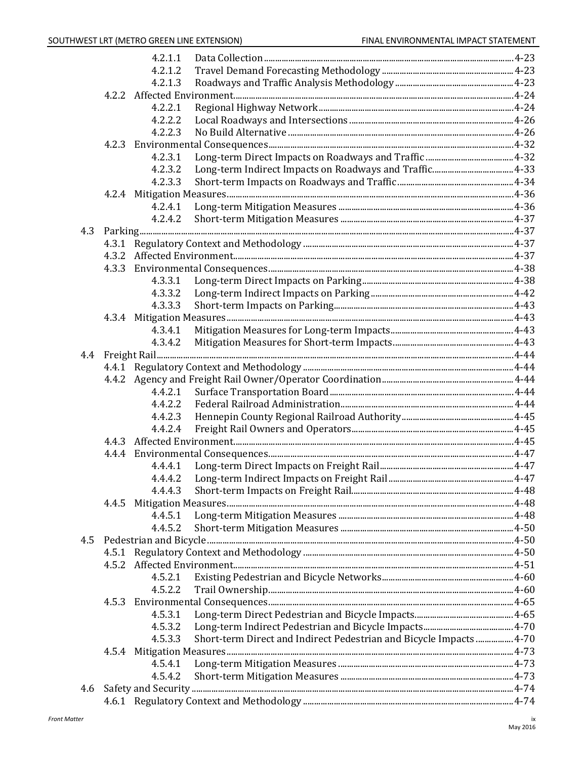|     | 4.2.1.1 |                                                                                                                                                                                                                                |  |
|-----|---------|--------------------------------------------------------------------------------------------------------------------------------------------------------------------------------------------------------------------------------|--|
|     | 4.2.1.2 |                                                                                                                                                                                                                                |  |
|     | 4.2.1.3 |                                                                                                                                                                                                                                |  |
|     |         |                                                                                                                                                                                                                                |  |
|     | 4.2.2.1 |                                                                                                                                                                                                                                |  |
|     | 4.2.2.2 |                                                                                                                                                                                                                                |  |
|     | 4.2.2.3 |                                                                                                                                                                                                                                |  |
|     |         |                                                                                                                                                                                                                                |  |
|     | 4.2.3.1 |                                                                                                                                                                                                                                |  |
|     | 4.2.3.2 |                                                                                                                                                                                                                                |  |
|     | 4.2.3.3 |                                                                                                                                                                                                                                |  |
|     |         |                                                                                                                                                                                                                                |  |
|     | 4.2.4.1 |                                                                                                                                                                                                                                |  |
|     | 4.2.4.2 |                                                                                                                                                                                                                                |  |
| 4.3 |         |                                                                                                                                                                                                                                |  |
|     |         |                                                                                                                                                                                                                                |  |
|     |         |                                                                                                                                                                                                                                |  |
|     |         |                                                                                                                                                                                                                                |  |
|     | 4.3.3.1 |                                                                                                                                                                                                                                |  |
|     | 4.3.3.2 |                                                                                                                                                                                                                                |  |
|     | 4.3.3.3 |                                                                                                                                                                                                                                |  |
|     |         |                                                                                                                                                                                                                                |  |
|     | 4.3.4.1 |                                                                                                                                                                                                                                |  |
|     | 4.3.4.2 |                                                                                                                                                                                                                                |  |
| 4.4 |         |                                                                                                                                                                                                                                |  |
|     |         |                                                                                                                                                                                                                                |  |
|     |         |                                                                                                                                                                                                                                |  |
|     | 4.4.2.1 |                                                                                                                                                                                                                                |  |
|     | 4.4.2.2 |                                                                                                                                                                                                                                |  |
|     | 4.4.2.3 |                                                                                                                                                                                                                                |  |
|     | 4.4.2.4 |                                                                                                                                                                                                                                |  |
|     |         |                                                                                                                                                                                                                                |  |
|     |         |                                                                                                                                                                                                                                |  |
|     | 4.4.4.1 |                                                                                                                                                                                                                                |  |
|     |         |                                                                                                                                                                                                                                |  |
|     | 4.4.4.3 |                                                                                                                                                                                                                                |  |
|     |         |                                                                                                                                                                                                                                |  |
|     | 4.4.5.1 |                                                                                                                                                                                                                                |  |
|     | 4.4.5.2 |                                                                                                                                                                                                                                |  |
| 4.5 |         |                                                                                                                                                                                                                                |  |
|     |         |                                                                                                                                                                                                                                |  |
|     |         | 4-51 meters de de la processe de la proponent de la processe de la production de la production de la production de la production de la production de la production de la production de la production de la production de la pr |  |
|     | 4.5.2.1 |                                                                                                                                                                                                                                |  |
|     | 4.5.2.2 |                                                                                                                                                                                                                                |  |
|     |         |                                                                                                                                                                                                                                |  |
|     | 4.5.3.1 |                                                                                                                                                                                                                                |  |
|     | 4.5.3.2 |                                                                                                                                                                                                                                |  |
|     | 4.5.3.3 | Short-term Direct and Indirect Pedestrian and Bicycle Impacts  4-70                                                                                                                                                            |  |
|     |         |                                                                                                                                                                                                                                |  |
|     | 4.5.4.1 |                                                                                                                                                                                                                                |  |
|     | 4.5.4.2 |                                                                                                                                                                                                                                |  |
| 4.6 |         |                                                                                                                                                                                                                                |  |
|     |         |                                                                                                                                                                                                                                |  |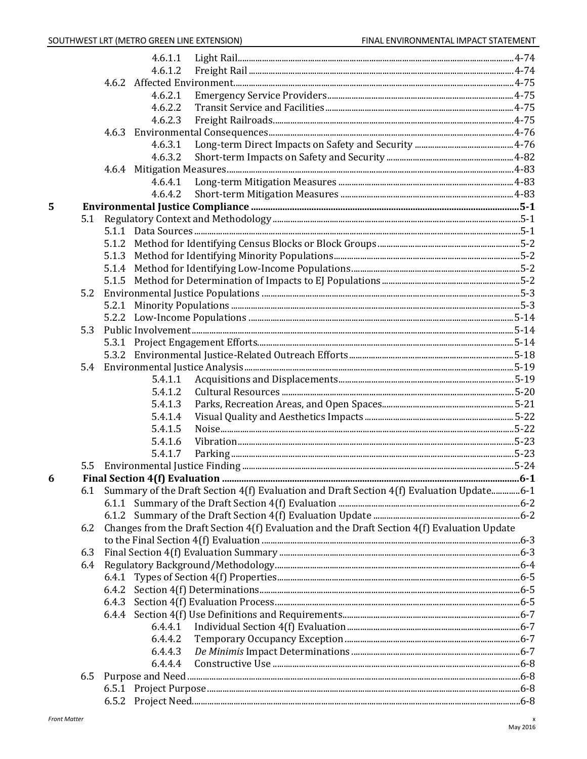|   |     | 4.6.1.1                                                                                      |  |
|---|-----|----------------------------------------------------------------------------------------------|--|
|   |     | 4.6.1.2                                                                                      |  |
|   |     |                                                                                              |  |
|   |     | 4.6.2.1                                                                                      |  |
|   |     | 4.6.2.2                                                                                      |  |
|   |     | 4.6.2.3                                                                                      |  |
|   |     |                                                                                              |  |
|   |     | 4.6.3.1                                                                                      |  |
|   |     | 4.6.3.2                                                                                      |  |
|   |     |                                                                                              |  |
|   |     | 4.6.4.1                                                                                      |  |
|   |     | 4.6.4.2                                                                                      |  |
| 5 |     |                                                                                              |  |
|   |     |                                                                                              |  |
|   | 5.1 |                                                                                              |  |
|   |     |                                                                                              |  |
|   |     |                                                                                              |  |
|   |     |                                                                                              |  |
|   |     |                                                                                              |  |
|   |     |                                                                                              |  |
|   | 5.2 |                                                                                              |  |
|   |     |                                                                                              |  |
|   |     |                                                                                              |  |
|   | 5.3 |                                                                                              |  |
|   |     |                                                                                              |  |
|   |     |                                                                                              |  |
|   | 5.4 |                                                                                              |  |
|   |     | 5.4.1.1                                                                                      |  |
|   |     | 5.4.1.2                                                                                      |  |
|   |     | 5.4.1.3                                                                                      |  |
|   |     | 5.4.1.4                                                                                      |  |
|   |     | 5.4.1.5                                                                                      |  |
|   |     |                                                                                              |  |
|   |     | 5.4.1.6                                                                                      |  |
|   |     | 5.4.1.7                                                                                      |  |
|   | 5.5 |                                                                                              |  |
| 6 |     |                                                                                              |  |
|   |     | 6-1 Summary of the Draft Section 4(f) Evaluation and Draft Section 4(f) Evaluation Update6-1 |  |
|   |     |                                                                                              |  |
|   |     |                                                                                              |  |
|   | 6.2 | Changes from the Draft Section 4(f) Evaluation and the Draft Section 4(f) Evaluation Update  |  |
|   |     |                                                                                              |  |
|   | 6.3 |                                                                                              |  |
|   | 6.4 |                                                                                              |  |
|   |     |                                                                                              |  |
|   |     |                                                                                              |  |
|   |     |                                                                                              |  |
|   |     |                                                                                              |  |
|   |     | 6.4.4.1                                                                                      |  |
|   |     | 6.4.4.2                                                                                      |  |
|   |     | 6.4.4.3                                                                                      |  |
|   |     |                                                                                              |  |
|   |     | 6.4.4.4                                                                                      |  |
|   | 6.5 |                                                                                              |  |
|   |     |                                                                                              |  |
|   |     |                                                                                              |  |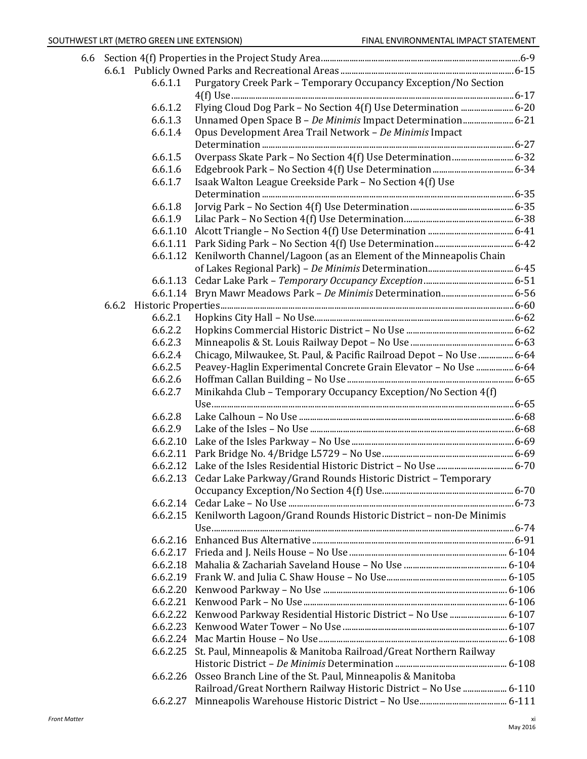| 6.6 |       |          |                                                                           |  |
|-----|-------|----------|---------------------------------------------------------------------------|--|
|     |       |          |                                                                           |  |
|     |       | 6.6.1.1  | Purgatory Creek Park - Temporary Occupancy Exception/No Section           |  |
|     |       |          |                                                                           |  |
|     |       | 6.6.1.2  | Flying Cloud Dog Park - No Section 4(f) Use Determination  6-20           |  |
|     |       | 6.6.1.3  | Unnamed Open Space B - De Minimis Impact Determination 6-21               |  |
|     |       | 6.6.1.4  | Opus Development Area Trail Network - De Minimis Impact                   |  |
|     |       |          |                                                                           |  |
|     |       | 6.6.1.5  |                                                                           |  |
|     |       | 6.6.1.6  |                                                                           |  |
|     |       | 6.6.1.7  | Isaak Walton League Creekside Park - No Section 4(f) Use                  |  |
|     |       |          |                                                                           |  |
|     |       | 6.6.1.8  |                                                                           |  |
|     |       |          |                                                                           |  |
|     |       | 6.6.1.9  |                                                                           |  |
|     |       | 6.6.1.10 |                                                                           |  |
|     |       | 6.6.1.11 |                                                                           |  |
|     |       | 6.6.1.12 | Kenilworth Channel/Lagoon (as an Element of the Minneapolis Chain         |  |
|     |       |          |                                                                           |  |
|     |       | 6.6.1.13 |                                                                           |  |
|     |       |          |                                                                           |  |
|     | 6.6.2 |          |                                                                           |  |
|     |       | 6.6.2.1  |                                                                           |  |
|     |       | 6.6.2.2  |                                                                           |  |
|     |       | 6.6.2.3  |                                                                           |  |
|     |       | 6.6.2.4  | Chicago, Milwaukee, St. Paul, & Pacific Railroad Depot - No Use  6-64     |  |
|     |       | 6.6.2.5  | Peavey-Haglin Experimental Concrete Grain Elevator - No Use  6-64         |  |
|     |       | 6.6.2.6  |                                                                           |  |
|     |       | 6.6.2.7  | Minikahda Club - Temporary Occupancy Exception/No Section 4(f)            |  |
|     |       |          |                                                                           |  |
|     |       | 6.6.2.8  |                                                                           |  |
|     |       | 6.6.2.9  |                                                                           |  |
|     |       | 6.6.2.10 |                                                                           |  |
|     |       | 6.6.2.11 |                                                                           |  |
|     |       | 6.6.2.12 |                                                                           |  |
|     |       |          | 6.6.2.13 Cedar Lake Parkway/Grand Rounds Historic District - Temporary    |  |
|     |       |          |                                                                           |  |
|     |       | 6.6.2.14 |                                                                           |  |
|     |       | 6.6.2.15 | Kenilworth Lagoon/Grand Rounds Historic District - non-De Minimis         |  |
|     |       |          |                                                                           |  |
|     |       |          |                                                                           |  |
|     |       |          |                                                                           |  |
|     |       |          |                                                                           |  |
|     |       |          |                                                                           |  |
|     |       |          |                                                                           |  |
|     |       |          |                                                                           |  |
|     |       |          |                                                                           |  |
|     |       | 6.6.2.22 | Kenwood Parkway Residential Historic District - No Use  6-107             |  |
|     |       |          |                                                                           |  |
|     |       |          |                                                                           |  |
|     |       |          | 6.6.2.25 St. Paul, Minneapolis & Manitoba Railroad/Great Northern Railway |  |
|     |       |          |                                                                           |  |
|     |       | 6.6.2.26 | Osseo Branch Line of the St. Paul, Minneapolis & Manitoba                 |  |
|     |       |          | Railroad/Great Northern Railway Historic District - No Use  6-110         |  |
|     |       | 6.6.2.27 |                                                                           |  |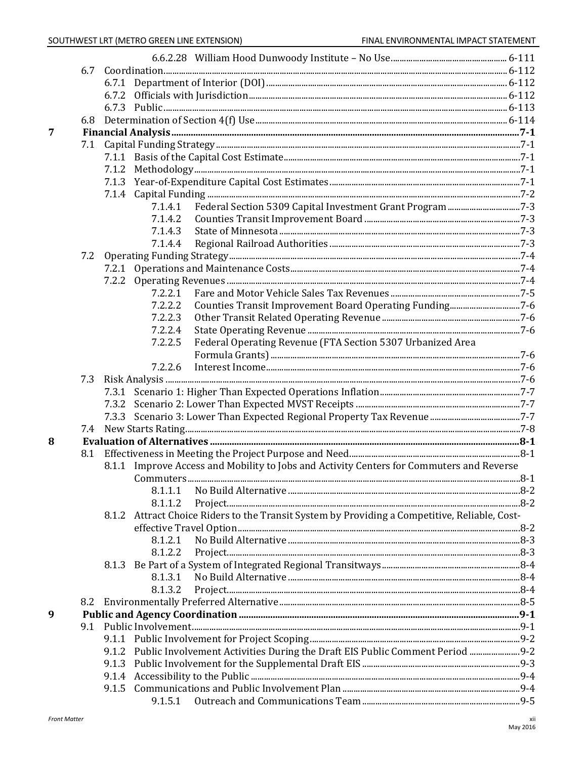|   | 6.7 |                                                                                               |  |
|---|-----|-----------------------------------------------------------------------------------------------|--|
|   |     |                                                                                               |  |
|   |     |                                                                                               |  |
|   |     |                                                                                               |  |
|   | 6.8 |                                                                                               |  |
| 7 |     |                                                                                               |  |
|   | 7.1 |                                                                                               |  |
|   |     |                                                                                               |  |
|   |     |                                                                                               |  |
|   |     |                                                                                               |  |
|   |     |                                                                                               |  |
|   |     | 7.1.4.1                                                                                       |  |
|   |     | 7.1.4.2                                                                                       |  |
|   |     | 7.1.4.3                                                                                       |  |
|   |     | 7.1.4.4                                                                                       |  |
|   | 7.2 |                                                                                               |  |
|   |     |                                                                                               |  |
|   |     |                                                                                               |  |
|   |     | 7.2.2.1                                                                                       |  |
|   |     | 7.2.2.2                                                                                       |  |
|   |     | 7.2.2.3                                                                                       |  |
|   |     | 7.2.2.4                                                                                       |  |
|   |     | Federal Operating Revenue (FTA Section 5307 Urbanized Area<br>7.2.2.5                         |  |
|   |     |                                                                                               |  |
|   |     | 7.2.2.6                                                                                       |  |
|   | 7.3 |                                                                                               |  |
|   |     |                                                                                               |  |
|   |     | 7.3.2                                                                                         |  |
|   |     |                                                                                               |  |
|   | 7.4 |                                                                                               |  |
| 8 |     |                                                                                               |  |
|   |     |                                                                                               |  |
|   |     | 8.1.1 Improve Access and Mobility to Jobs and Activity Centers for Commuters and Reverse      |  |
|   |     |                                                                                               |  |
|   |     | 8.1.1.1                                                                                       |  |
|   |     | 8.1.1.2                                                                                       |  |
|   |     | 8.1.2 Attract Choice Riders to the Transit System by Providing a Competitive, Reliable, Cost- |  |
|   |     |                                                                                               |  |
|   |     | 8.1.2.1                                                                                       |  |
|   |     | 8.1.2.2                                                                                       |  |
|   |     | 8.1.3.1                                                                                       |  |
|   |     | 8.1.3.2                                                                                       |  |
|   | 8.2 |                                                                                               |  |
| 9 |     |                                                                                               |  |
|   |     |                                                                                               |  |
|   |     |                                                                                               |  |
|   |     | 9.1.2 Public Involvement Activities During the Draft EIS Public Comment Period                |  |
|   |     |                                                                                               |  |
|   |     |                                                                                               |  |
|   |     |                                                                                               |  |
|   |     | 9.1.5.1                                                                                       |  |
|   |     |                                                                                               |  |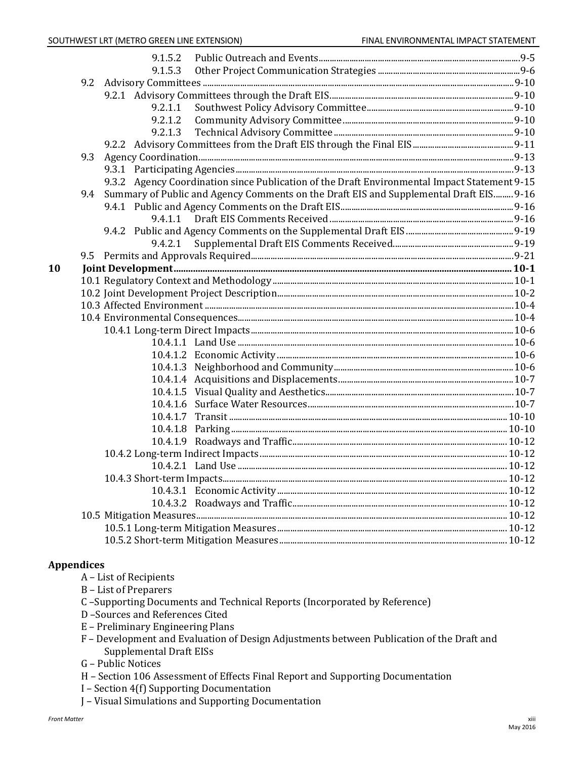|    |     | 9.1.5.2                                                                                      |  |
|----|-----|----------------------------------------------------------------------------------------------|--|
|    |     | 9.1.5.3                                                                                      |  |
|    |     |                                                                                              |  |
|    |     |                                                                                              |  |
|    |     | 9.2.1.1                                                                                      |  |
|    |     | 9.2.1.2                                                                                      |  |
|    |     | 9.2.1.3                                                                                      |  |
|    |     |                                                                                              |  |
|    | 9.3 |                                                                                              |  |
|    |     |                                                                                              |  |
|    |     | 9.3.2 Agency Coordination since Publication of the Draft Environmental Impact Statement 9-15 |  |
|    | 9.4 | Summary of Public and Agency Comments on the Draft EIS and Supplemental Draft EIS 9-16       |  |
|    |     |                                                                                              |  |
|    |     |                                                                                              |  |
|    |     |                                                                                              |  |
|    |     | 9.4.2.1                                                                                      |  |
|    |     |                                                                                              |  |
| 10 |     |                                                                                              |  |
|    |     |                                                                                              |  |
|    |     |                                                                                              |  |
|    |     |                                                                                              |  |
|    |     |                                                                                              |  |
|    |     |                                                                                              |  |
|    |     |                                                                                              |  |
|    |     |                                                                                              |  |
|    |     |                                                                                              |  |
|    |     |                                                                                              |  |
|    |     |                                                                                              |  |
|    |     |                                                                                              |  |
|    |     |                                                                                              |  |
|    |     |                                                                                              |  |
|    |     |                                                                                              |  |
|    |     |                                                                                              |  |
|    |     |                                                                                              |  |
|    |     |                                                                                              |  |
|    |     |                                                                                              |  |
|    |     |                                                                                              |  |
|    |     |                                                                                              |  |
|    |     |                                                                                              |  |
|    |     |                                                                                              |  |

# **Appendices**

- A List of Recipients
- B List of Preparers
- C –Supporting Documents and Technical Reports (Incorporated by Reference)
- D –Sources and References Cited
- E Preliminary Engineering Plans
- F Development and Evaluation of Design Adjustments between Publication of the Draft and Supplemental Draft EISs
- G Public Notices
- H Section 106 Assessment of Effects Final Report and Supporting Documentation
- I Section 4(f) Supporting Documentation
- J Visual Simulations and Supporting Documentation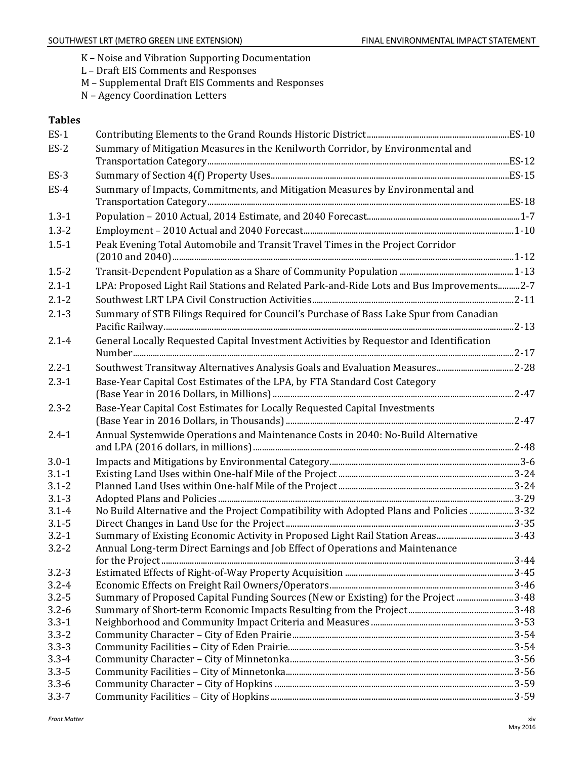- K Noise and Vibration Supporting Documentation
- L Draft EIS Comments and Responses
- M Supplemental Draft EIS Comments and Responses
- N Agency Coordination Letters

# **Tables**

| $ES-1$    |                                                                                           |  |
|-----------|-------------------------------------------------------------------------------------------|--|
| $ES-2$    | Summary of Mitigation Measures in the Kenilworth Corridor, by Environmental and           |  |
|           |                                                                                           |  |
| $ES-3$    |                                                                                           |  |
| $ES-4$    | Summary of Impacts, Commitments, and Mitigation Measures by Environmental and             |  |
|           |                                                                                           |  |
| $1.3 - 1$ |                                                                                           |  |
| $1.3 - 2$ |                                                                                           |  |
| $1.5 - 1$ | Peak Evening Total Automobile and Transit Travel Times in the Project Corridor            |  |
|           |                                                                                           |  |
| $1.5 - 2$ |                                                                                           |  |
| $2.1 - 1$ | LPA: Proposed Light Rail Stations and Related Park-and-Ride Lots and Bus Improvements 2-7 |  |
| $2.1 - 2$ |                                                                                           |  |
| $2.1 - 3$ | Summary of STB Filings Required for Council's Purchase of Bass Lake Spur from Canadian    |  |
|           |                                                                                           |  |
| $2.1 - 4$ | General Locally Requested Capital Investment Activities by Requestor and Identification   |  |
|           |                                                                                           |  |
| $2.2 - 1$ | Southwest Transitway Alternatives Analysis Goals and Evaluation Measures 2-28             |  |
| $2.3 - 1$ | Base-Year Capital Cost Estimates of the LPA, by FTA Standard Cost Category                |  |
|           |                                                                                           |  |
| $2.3 - 2$ | Base-Year Capital Cost Estimates for Locally Requested Capital Investments                |  |
|           |                                                                                           |  |
| $2.4 - 1$ | Annual Systemwide Operations and Maintenance Costs in 2040: No-Build Alternative          |  |
|           |                                                                                           |  |
| $3.0 - 1$ |                                                                                           |  |
| $3.1 - 1$ |                                                                                           |  |
| $3.1 - 2$ |                                                                                           |  |
| $3.1 - 3$ |                                                                                           |  |
| $3.1 - 4$ | No Build Alternative and the Project Compatibility with Adopted Plans and Policies 3-32   |  |
| $3.1 - 5$ |                                                                                           |  |
| $3.2 - 1$ | Summary of Existing Economic Activity in Proposed Light Rail Station Areas3-43            |  |
| $3.2 - 2$ | Annual Long-term Direct Earnings and Job Effect of Operations and Maintenance             |  |
| $3.2 - 3$ |                                                                                           |  |
| $3.2 - 4$ |                                                                                           |  |
| $3.2 - 5$ | Summary of Proposed Capital Funding Sources (New or Existing) for the Project  3-48       |  |
| $3.2 - 6$ |                                                                                           |  |
| $3.3 - 1$ |                                                                                           |  |
| $3.3 - 2$ |                                                                                           |  |
| $3.3 - 3$ |                                                                                           |  |
| $3.3 - 4$ |                                                                                           |  |
| $3.3 - 5$ |                                                                                           |  |
| $3.3 - 6$ |                                                                                           |  |
| $3.3 - 7$ |                                                                                           |  |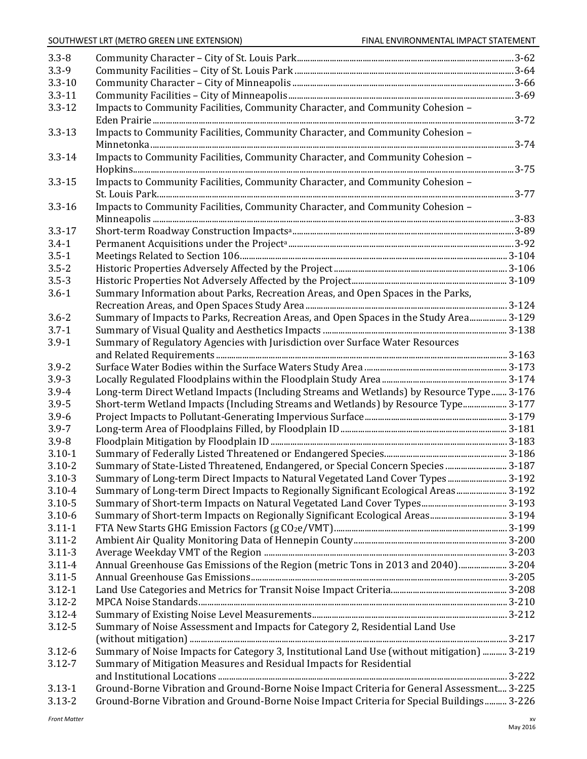| $3.3 - 8$  |                                                                                             |  |
|------------|---------------------------------------------------------------------------------------------|--|
| $3.3 - 9$  |                                                                                             |  |
| $3.3 - 10$ |                                                                                             |  |
| $3.3 - 11$ |                                                                                             |  |
| $3.3 - 12$ | Impacts to Community Facilities, Community Character, and Community Cohesion -              |  |
|            |                                                                                             |  |
| $3.3 - 13$ | Impacts to Community Facilities, Community Character, and Community Cohesion -              |  |
|            |                                                                                             |  |
| $3.3 - 14$ | Impacts to Community Facilities, Community Character, and Community Cohesion -              |  |
|            |                                                                                             |  |
| $3.3 - 15$ | Impacts to Community Facilities, Community Character, and Community Cohesion -              |  |
|            |                                                                                             |  |
|            | Impacts to Community Facilities, Community Character, and Community Cohesion -              |  |
| $3.3 - 16$ |                                                                                             |  |
|            |                                                                                             |  |
| $3.3 - 17$ |                                                                                             |  |
| $3.4 - 1$  |                                                                                             |  |
| $3.5 - 1$  |                                                                                             |  |
| $3.5 - 2$  |                                                                                             |  |
| $3.5 - 3$  |                                                                                             |  |
| $3.6 - 1$  | Summary Information about Parks, Recreation Areas, and Open Spaces in the Parks,            |  |
|            |                                                                                             |  |
| $3.6 - 2$  | Summary of Impacts to Parks, Recreation Areas, and Open Spaces in the Study Area 3-129      |  |
| $3.7 - 1$  |                                                                                             |  |
| $3.9 - 1$  | Summary of Regulatory Agencies with Jurisdiction over Surface Water Resources               |  |
|            |                                                                                             |  |
| $3.9 - 2$  |                                                                                             |  |
| $3.9 - 3$  |                                                                                             |  |
| $3.9 - 4$  | Long-term Direct Wetland Impacts (Including Streams and Wetlands) by Resource Type 3-176    |  |
| $3.9 - 5$  | Short-term Wetland Impacts (Including Streams and Wetlands) by Resource Type 3-177          |  |
| $3.9 - 6$  |                                                                                             |  |
| $3.9 - 7$  |                                                                                             |  |
| $3.9 - 8$  |                                                                                             |  |
| $3.10 - 1$ |                                                                                             |  |
| $3.10 - 2$ | Summary of State-Listed Threatened, Endangered, or Special Concern Species  3-187           |  |
| $3.10 - 3$ | Summary of Long-term Direct Impacts to Natural Vegetated Land Cover Types 3-192             |  |
| $3.10 - 4$ | Summary of Long-term Direct Impacts to Regionally Significant Ecological Areas 3-192        |  |
| $3.10 - 5$ |                                                                                             |  |
| $3.10 - 6$ |                                                                                             |  |
| $3.11 - 1$ |                                                                                             |  |
| $3.11 - 2$ |                                                                                             |  |
| $3.11 - 3$ |                                                                                             |  |
| $3.11 - 4$ | Annual Greenhouse Gas Emissions of the Region (metric Tons in 2013 and 2040) 3-204          |  |
| $3.11 - 5$ |                                                                                             |  |
| $3.12 - 1$ |                                                                                             |  |
| $3.12 - 2$ |                                                                                             |  |
| $3.12 - 4$ |                                                                                             |  |
| $3.12 - 5$ | Summary of Noise Assessment and Impacts for Category 2, Residential Land Use                |  |
|            |                                                                                             |  |
| $3.12 - 6$ | Summary of Noise Impacts for Category 3, Institutional Land Use (without mitigation)  3-219 |  |
| $3.12 - 7$ | Summary of Mitigation Measures and Residual Impacts for Residential                         |  |
|            |                                                                                             |  |
| $3.13 - 1$ | Ground-Borne Vibration and Ground-Borne Noise Impact Criteria for General Assessment 3-225  |  |
| $3.13 - 2$ | Ground-Borne Vibration and Ground-Borne Noise Impact Criteria for Special Buildings 3-226   |  |
|            |                                                                                             |  |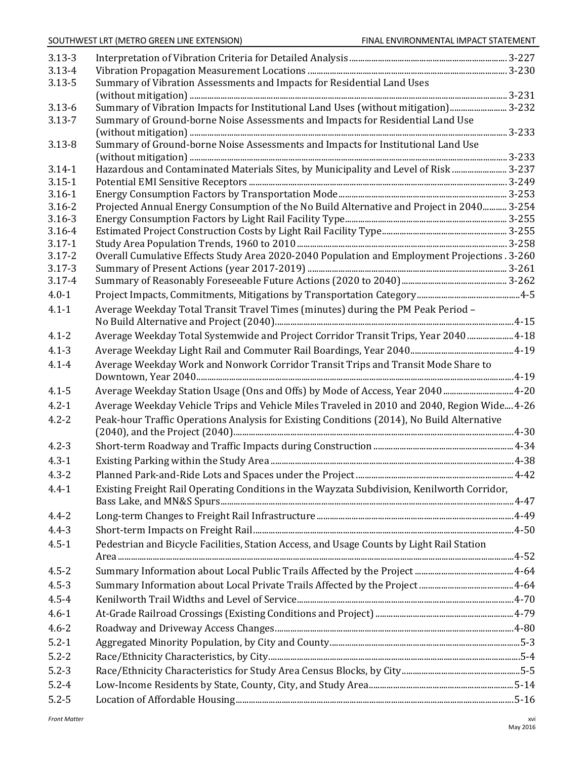| $3.13 - 3$               |                                                                                              |  |
|--------------------------|----------------------------------------------------------------------------------------------|--|
| $3.13 - 4$               |                                                                                              |  |
| $3.13 - 5$               | Summary of Vibration Assessments and Impacts for Residential Land Uses                       |  |
| $3.13 - 6$               | Summary of Vibration Impacts for Institutional Land Uses (without mitigation) 3-232          |  |
| $3.13 - 7$               | Summary of Ground-borne Noise Assessments and Impacts for Residential Land Use               |  |
|                          |                                                                                              |  |
| $3.13 - 8$               | Summary of Ground-borne Noise Assessments and Impacts for Institutional Land Use             |  |
|                          |                                                                                              |  |
| $3.14 - 1$               | Hazardous and Contaminated Materials Sites, by Municipality and Level of Risk  3-237         |  |
| $3.15 - 1$               |                                                                                              |  |
| $3.16 - 1$               |                                                                                              |  |
| $3.16 - 2$               | Projected Annual Energy Consumption of the No Build Alternative and Project in 2040 3-254    |  |
| $3.16 - 3$               |                                                                                              |  |
| $3.16 - 4$               |                                                                                              |  |
| $3.17 - 1$               | Overall Cumulative Effects Study Area 2020-2040 Population and Employment Projections. 3-260 |  |
| $3.17 - 2$<br>$3.17 - 3$ |                                                                                              |  |
| $3.17 - 4$               |                                                                                              |  |
| $4.0 - 1$                |                                                                                              |  |
| $4.1 - 1$                | Average Weekday Total Transit Travel Times (minutes) during the PM Peak Period -             |  |
|                          |                                                                                              |  |
| $4.1 - 2$                | Average Weekday Total Systemwide and Project Corridor Transit Trips, Year 2040 4-18          |  |
| $4.1 - 3$                |                                                                                              |  |
| $4.1 - 4$                | Average Weekday Work and Nonwork Corridor Transit Trips and Transit Mode Share to            |  |
|                          |                                                                                              |  |
| $4.1 - 5$                | Average Weekday Station Usage (Ons and Offs) by Mode of Access, Year 2040  4-20              |  |
| $4.2 - 1$                | Average Weekday Vehicle Trips and Vehicle Miles Traveled in 2010 and 2040, Region Wide 4-26  |  |
| $4.2 - 2$                | Peak-hour Traffic Operations Analysis for Existing Conditions (2014), No Build Alternative   |  |
|                          |                                                                                              |  |
| $4.2 - 3$                |                                                                                              |  |
| $4.3 - 1$                |                                                                                              |  |
| $4.3 - 2$                |                                                                                              |  |
| $4.4 - 1$                | Existing Freight Rail Operating Conditions in the Wayzata Subdivision, Kenilworth Corridor,  |  |
| $4.4 - 2$                |                                                                                              |  |
|                          |                                                                                              |  |
| $4.4 - 3$                |                                                                                              |  |
| $4.5 - 1$                | Pedestrian and Bicycle Facilities, Station Access, and Usage Counts by Light Rail Station    |  |
|                          |                                                                                              |  |
| $4.5 - 2$                |                                                                                              |  |
| $4.5 - 3$                |                                                                                              |  |
| $4.5 - 4$                |                                                                                              |  |
| $4.6 - 1$                |                                                                                              |  |
| $4.6 - 2$                |                                                                                              |  |
| $5.2 - 1$                |                                                                                              |  |
| $5.2 - 2$                |                                                                                              |  |
| $5.2 - 3$                |                                                                                              |  |
| $5.2 - 4$                |                                                                                              |  |
|                          |                                                                                              |  |
| $5.2 - 5$                |                                                                                              |  |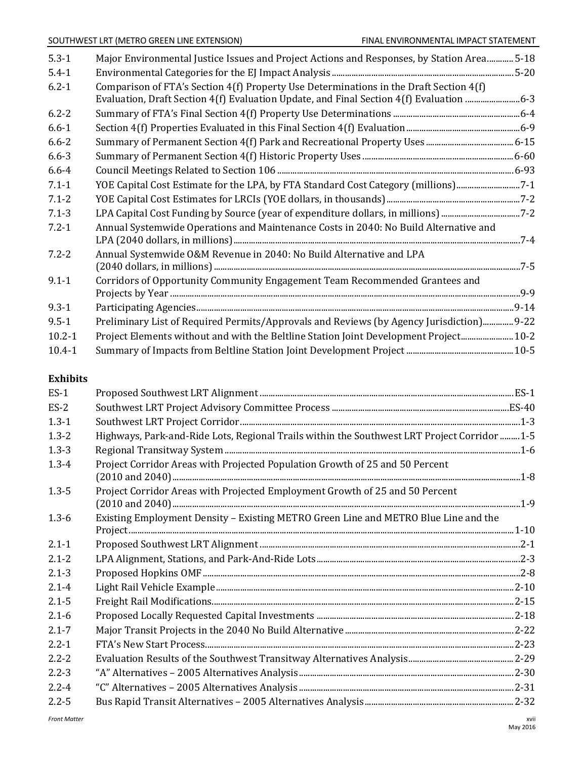| $5.3 - 1$  | Major Environmental Justice Issues and Project Actions and Responses, by Station Area 5-18 |  |
|------------|--------------------------------------------------------------------------------------------|--|
| $5.4 - 1$  |                                                                                            |  |
| $6.2 - 1$  | Comparison of FTA's Section 4(f) Property Use Determinations in the Draft Section 4(f)     |  |
|            | Evaluation, Draft Section 4(f) Evaluation Update, and Final Section 4(f) Evaluation 6-3    |  |
| $6.2 - 2$  |                                                                                            |  |
| $6.6 - 1$  |                                                                                            |  |
| $6.6 - 2$  |                                                                                            |  |
| $6.6 - 3$  |                                                                                            |  |
| $6.6 - 4$  |                                                                                            |  |
| $7.1 - 1$  | YOE Capital Cost Estimate for the LPA, by FTA Standard Cost Category (millions)7-1         |  |
| $7.1 - 2$  |                                                                                            |  |
| $7.1 - 3$  | LPA Capital Cost Funding by Source (year of expenditure dollars, in millions) 7-2          |  |
| $7.2 - 1$  | Annual Systemwide Operations and Maintenance Costs in 2040: No Build Alternative and       |  |
|            |                                                                                            |  |
| $7.2 - 2$  | Annual Systemwide O&M Revenue in 2040: No Build Alternative and LPA                        |  |
|            |                                                                                            |  |
| $9.1 - 1$  | Corridors of Opportunity Community Engagement Team Recommended Grantees and                |  |
|            |                                                                                            |  |
| $9.3 - 1$  |                                                                                            |  |
| $9.5 - 1$  | Preliminary List of Required Permits/Approvals and Reviews (by Agency Jurisdiction) 9-22   |  |
| $10.2 - 1$ | Project Elements without and with the Beltline Station Joint Development Project 10-2      |  |
| $10.4 - 1$ |                                                                                            |  |
|            |                                                                                            |  |

# **Exhibits**

| $ES-1$    |                                                                                              |  |
|-----------|----------------------------------------------------------------------------------------------|--|
| $ES-2$    |                                                                                              |  |
| $1.3 - 1$ |                                                                                              |  |
| $1.3 - 2$ | Highways, Park-and-Ride Lots, Regional Trails within the Southwest LRT Project Corridor  1-5 |  |
| $1.3 - 3$ |                                                                                              |  |
| $1.3 - 4$ | Project Corridor Areas with Projected Population Growth of 25 and 50 Percent                 |  |
| $1.3 - 5$ | Project Corridor Areas with Projected Employment Growth of 25 and 50 Percent                 |  |
| $1.3 - 6$ | Existing Employment Density - Existing METRO Green Line and METRO Blue Line and the          |  |
| $2.1 - 1$ |                                                                                              |  |
| $2.1 - 2$ |                                                                                              |  |
| $2.1 - 3$ |                                                                                              |  |
| $2.1 - 4$ |                                                                                              |  |
| $2.1 - 5$ |                                                                                              |  |
| $2.1 - 6$ |                                                                                              |  |
| $2.1 - 7$ |                                                                                              |  |
| $2.2 - 1$ |                                                                                              |  |
| $2.2 - 2$ |                                                                                              |  |
| $2.2 - 3$ |                                                                                              |  |
| $2.2 - 4$ |                                                                                              |  |
| $2.2 - 5$ |                                                                                              |  |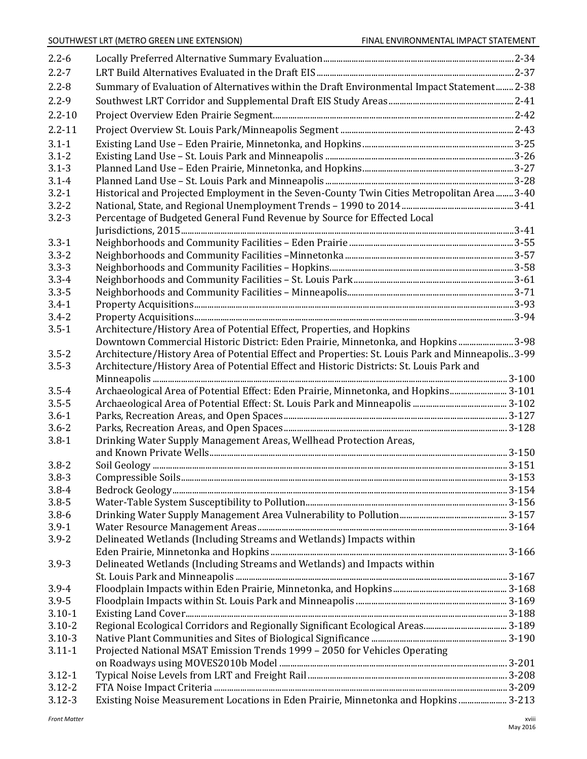| $2.2 - 6$  |                                                                                                  |  |
|------------|--------------------------------------------------------------------------------------------------|--|
| $2.2 - 7$  |                                                                                                  |  |
| $2.2 - 8$  | Summary of Evaluation of Alternatives within the Draft Environmental Impact Statement 2-38       |  |
| $2.2 - 9$  |                                                                                                  |  |
| $2.2 - 10$ |                                                                                                  |  |
| $2.2 - 11$ |                                                                                                  |  |
|            |                                                                                                  |  |
| $3.1 - 1$  |                                                                                                  |  |
| $3.1 - 2$  |                                                                                                  |  |
| $3.1 - 3$  |                                                                                                  |  |
| $3.1 - 4$  |                                                                                                  |  |
| $3.2 - 1$  | Historical and Projected Employment in the Seven-County Twin Cities Metropolitan Area 3-40       |  |
| $3.2 - 2$  |                                                                                                  |  |
| $3.2 - 3$  | Percentage of Budgeted General Fund Revenue by Source for Effected Local                         |  |
|            |                                                                                                  |  |
| $3.3 - 1$  |                                                                                                  |  |
| $3.3 - 2$  |                                                                                                  |  |
| $3.3 - 3$  |                                                                                                  |  |
| $3.3 - 4$  |                                                                                                  |  |
| $3.3 - 5$  |                                                                                                  |  |
| $3.4 - 1$  |                                                                                                  |  |
| $3.4 - 2$  |                                                                                                  |  |
| $3.5 - 1$  | Architecture/History Area of Potential Effect, Properties, and Hopkins                           |  |
|            | Downtown Commercial Historic District: Eden Prairie, Minnetonka, and Hopkins  3-98               |  |
| $3.5 - 2$  | Architecture/History Area of Potential Effect and Properties: St. Louis Park and Minneapolis3-99 |  |
| $3.5 - 3$  | Architecture/History Area of Potential Effect and Historic Districts: St. Louis Park and         |  |
|            |                                                                                                  |  |
| $3.5 - 4$  | Archaeological Area of Potential Effect: Eden Prairie, Minnetonka, and Hopkins 3-101             |  |
| $3.5 - 5$  |                                                                                                  |  |
| $3.6 - 1$  |                                                                                                  |  |
| $3.6 - 2$  |                                                                                                  |  |
| $3.8 - 1$  | Drinking Water Supply Management Areas, Wellhead Protection Areas,                               |  |
|            |                                                                                                  |  |
| $3.8 - 2$  |                                                                                                  |  |
| $3.8 - 3$  |                                                                                                  |  |
| $3.8 - 4$  |                                                                                                  |  |
| $3.8 - 5$  |                                                                                                  |  |
| $3.8 - 6$  |                                                                                                  |  |
| $3.9 - 1$  |                                                                                                  |  |
| $3.9 - 2$  | Delineated Wetlands (Including Streams and Wetlands) Impacts within                              |  |
|            |                                                                                                  |  |
| $3.9 - 3$  | Delineated Wetlands (Including Streams and Wetlands) and Impacts within                          |  |
|            |                                                                                                  |  |
| $3.9 - 4$  |                                                                                                  |  |
| $3.9 - 5$  |                                                                                                  |  |
| $3.10 - 1$ |                                                                                                  |  |
| $3.10 - 2$ |                                                                                                  |  |
| $3.10 - 3$ |                                                                                                  |  |
| $3.11 - 1$ | Projected National MSAT Emission Trends 1999 - 2050 for Vehicles Operating                       |  |
|            |                                                                                                  |  |
| $3.12 - 1$ |                                                                                                  |  |
| $3.12 - 2$ |                                                                                                  |  |
| $3.12 - 3$ | Existing Noise Measurement Locations in Eden Prairie, Minnetonka and Hopkins  3-213              |  |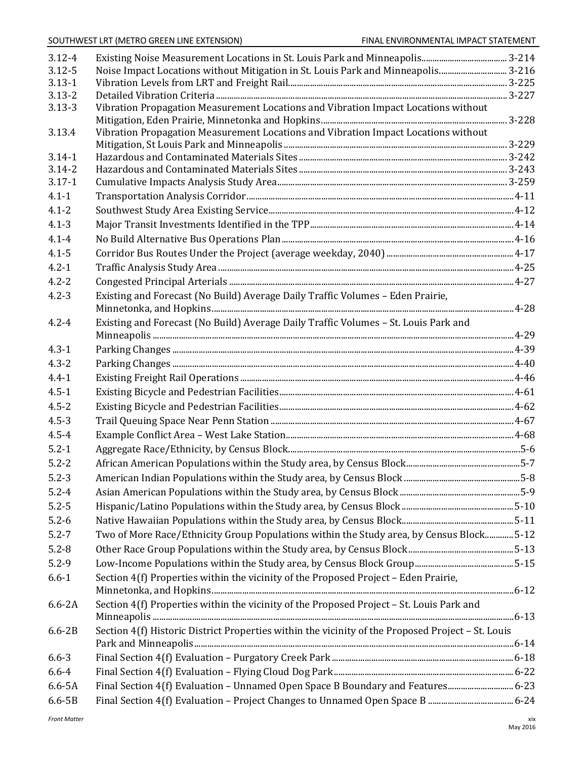| $3.12 - 4$ |                                                                                                   |  |
|------------|---------------------------------------------------------------------------------------------------|--|
| $3.12 - 5$ | Noise Impact Locations without Mitigation in St. Louis Park and Minneapolis 3-216                 |  |
| $3.13 - 1$ |                                                                                                   |  |
| $3.13 - 2$ |                                                                                                   |  |
| $3.13 - 3$ | Vibration Propagation Measurement Locations and Vibration Impact Locations without                |  |
| 3.13.4     | Vibration Propagation Measurement Locations and Vibration Impact Locations without                |  |
|            |                                                                                                   |  |
| $3.14 - 1$ |                                                                                                   |  |
| $3.14 - 2$ |                                                                                                   |  |
| $3.17 - 1$ |                                                                                                   |  |
| $4.1 - 1$  |                                                                                                   |  |
| $4.1 - 2$  |                                                                                                   |  |
| $4.1 - 3$  |                                                                                                   |  |
| $4.1 - 4$  |                                                                                                   |  |
| $4.1 - 5$  |                                                                                                   |  |
| $4.2 - 1$  |                                                                                                   |  |
| $4.2 - 2$  |                                                                                                   |  |
| $4.2 - 3$  | Existing and Forecast (No Build) Average Daily Traffic Volumes - Eden Prairie,                    |  |
| $4.2 - 4$  | Existing and Forecast (No Build) Average Daily Traffic Volumes - St. Louis Park and               |  |
| $4.3 - 1$  |                                                                                                   |  |
| $4.3 - 2$  |                                                                                                   |  |
| $4.4 - 1$  |                                                                                                   |  |
| $4.5 - 1$  |                                                                                                   |  |
| $4.5 - 2$  |                                                                                                   |  |
| $4.5 - 3$  |                                                                                                   |  |
| $4.5 - 4$  |                                                                                                   |  |
| $5.2 - 1$  |                                                                                                   |  |
| $5.2 - 2$  |                                                                                                   |  |
| $5.2 - 3$  |                                                                                                   |  |
| $5.2 - 4$  |                                                                                                   |  |
| $5.2 - 5$  |                                                                                                   |  |
| $5.2 - 6$  |                                                                                                   |  |
| $5.2 - 7$  | Two of More Race/Ethnicity Group Populations within the Study area, by Census Block5-12           |  |
| $5.2 - 8$  |                                                                                                   |  |
| $5.2 - 9$  |                                                                                                   |  |
| $6.6 - 1$  | Section 4(f) Properties within the vicinity of the Proposed Project - Eden Prairie,               |  |
|            |                                                                                                   |  |
| $6.6 - 2A$ | Section 4(f) Properties within the vicinity of the Proposed Project – St. Louis Park and          |  |
| $6.6 - 2B$ | Section 4(f) Historic District Properties within the vicinity of the Proposed Project - St. Louis |  |
| $6.6 - 3$  |                                                                                                   |  |
| $6.6 - 4$  |                                                                                                   |  |
| $6.6 - 5A$ | Final Section 4(f) Evaluation - Unnamed Open Space B Boundary and Features 6-23                   |  |
| $6.6 - 5B$ |                                                                                                   |  |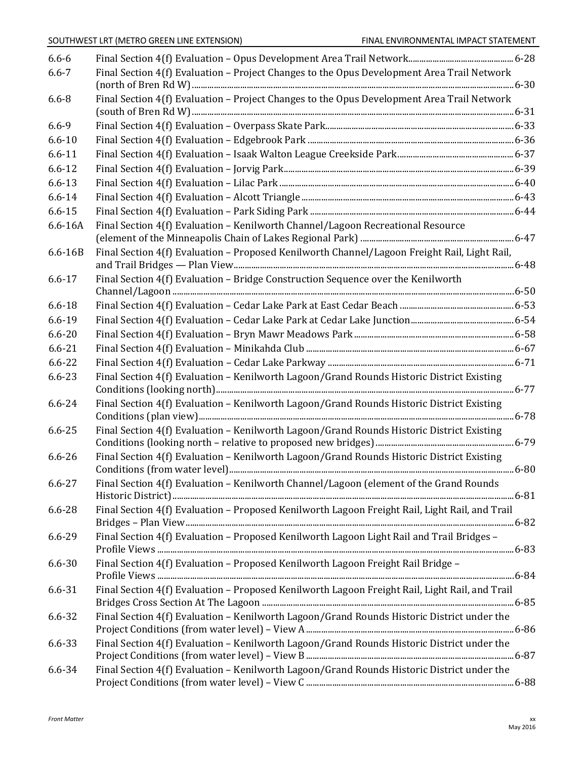| $6.6 - 6$   |                                                                                                |  |
|-------------|------------------------------------------------------------------------------------------------|--|
| $6.6 - 7$   | Final Section 4(f) Evaluation - Project Changes to the Opus Development Area Trail Network     |  |
|             |                                                                                                |  |
| $6.6 - 8$   | Final Section 4(f) Evaluation - Project Changes to the Opus Development Area Trail Network     |  |
|             |                                                                                                |  |
| $6.6 - 9$   |                                                                                                |  |
| $6.6 - 10$  |                                                                                                |  |
| $6.6 - 11$  |                                                                                                |  |
| $6.6 - 12$  |                                                                                                |  |
| $6.6 - 13$  |                                                                                                |  |
| $6.6 - 14$  |                                                                                                |  |
| $6.6 - 15$  |                                                                                                |  |
| $6.6 - 16A$ | Final Section 4(f) Evaluation - Kenilworth Channel/Lagoon Recreational Resource                |  |
| $6.6 - 16B$ | Final Section 4(f) Evaluation - Proposed Kenilworth Channel/Lagoon Freight Rail, Light Rail,   |  |
|             |                                                                                                |  |
| $6.6 - 17$  | Final Section 4(f) Evaluation - Bridge Construction Sequence over the Kenilworth               |  |
|             |                                                                                                |  |
| $6.6 - 18$  |                                                                                                |  |
| $6.6 - 19$  |                                                                                                |  |
| $6.6 - 20$  |                                                                                                |  |
| $6.6 - 21$  |                                                                                                |  |
| $6.6 - 22$  |                                                                                                |  |
| $6.6 - 23$  | Final Section 4(f) Evaluation - Kenilworth Lagoon/Grand Rounds Historic District Existing      |  |
| $6.6 - 24$  | Final Section 4(f) Evaluation - Kenilworth Lagoon/Grand Rounds Historic District Existing      |  |
| $6.6 - 25$  | Final Section 4(f) Evaluation - Kenilworth Lagoon/Grand Rounds Historic District Existing      |  |
|             |                                                                                                |  |
| $6.6 - 26$  | Final Section 4(f) Evaluation - Kenilworth Lagoon/Grand Rounds Historic District Existing      |  |
| $6.6 - 27$  | Final Section 4(f) Evaluation - Kenilworth Channel/Lagoon (element of the Grand Rounds         |  |
|             |                                                                                                |  |
| $6.6 - 28$  | Final Section 4(f) Evaluation - Proposed Kenilworth Lagoon Freight Rail, Light Rail, and Trail |  |
|             |                                                                                                |  |
| $6.6 - 29$  | Final Section 4(f) Evaluation - Proposed Kenilworth Lagoon Light Rail and Trail Bridges -      |  |
| $6.6 - 30$  | Final Section 4(f) Evaluation - Proposed Kenilworth Lagoon Freight Rail Bridge -               |  |
|             |                                                                                                |  |
| 6.6-31      | Final Section 4(f) Evaluation - Proposed Kenilworth Lagoon Freight Rail, Light Rail, and Trail |  |
|             |                                                                                                |  |
| 6.6-32      | Final Section 4(f) Evaluation - Kenilworth Lagoon/Grand Rounds Historic District under the     |  |
| 6.6-33      | Final Section 4(f) Evaluation - Kenilworth Lagoon/Grand Rounds Historic District under the     |  |
|             |                                                                                                |  |
| 6.6-34      | Final Section 4(f) Evaluation - Kenilworth Lagoon/Grand Rounds Historic District under the     |  |
|             |                                                                                                |  |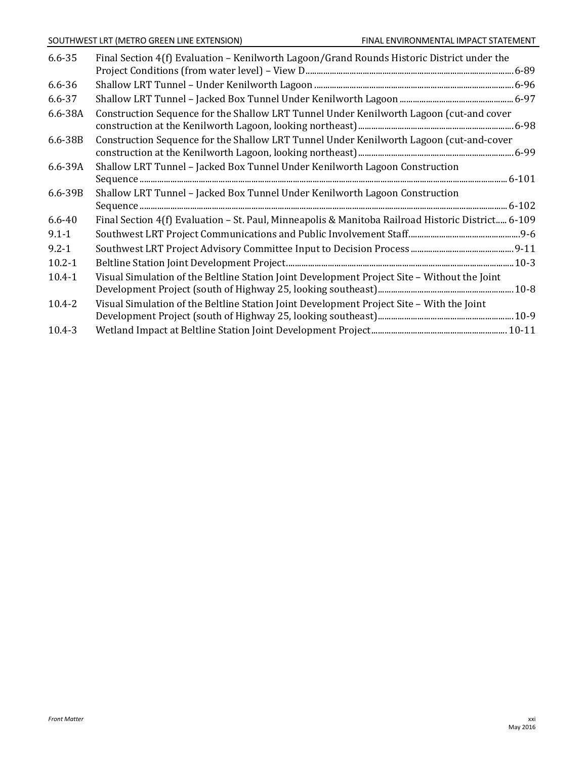| $6.6 - 35$  | Final Section 4(f) Evaluation - Kenilworth Lagoon/Grand Rounds Historic District under the        |
|-------------|---------------------------------------------------------------------------------------------------|
| 6.6-36      |                                                                                                   |
| 6.6-37      |                                                                                                   |
| 6.6-38A     | Construction Sequence for the Shallow LRT Tunnel Under Kenilworth Lagoon (cut-and cover           |
| 6.6-38B     | Construction Sequence for the Shallow LRT Tunnel Under Kenilworth Lagoon (cut-and-cover           |
| $6.6 - 39A$ | Shallow LRT Tunnel - Jacked Box Tunnel Under Kenilworth Lagoon Construction                       |
| 6.6-39B     | Shallow LRT Tunnel - Jacked Box Tunnel Under Kenilworth Lagoon Construction                       |
|             |                                                                                                   |
| 6.6-40      | Final Section 4(f) Evaluation - St. Paul, Minneapolis & Manitoba Railroad Historic District 6-109 |
| $9.1 - 1$   |                                                                                                   |
| $9.2 - 1$   |                                                                                                   |
| $10.2 - 1$  |                                                                                                   |
| $10.4 - 1$  | Visual Simulation of the Beltline Station Joint Development Project Site - Without the Joint      |
|             |                                                                                                   |
| $10.4 - 2$  | Visual Simulation of the Beltline Station Joint Development Project Site - With the Joint         |
|             |                                                                                                   |
| $10.4 - 3$  |                                                                                                   |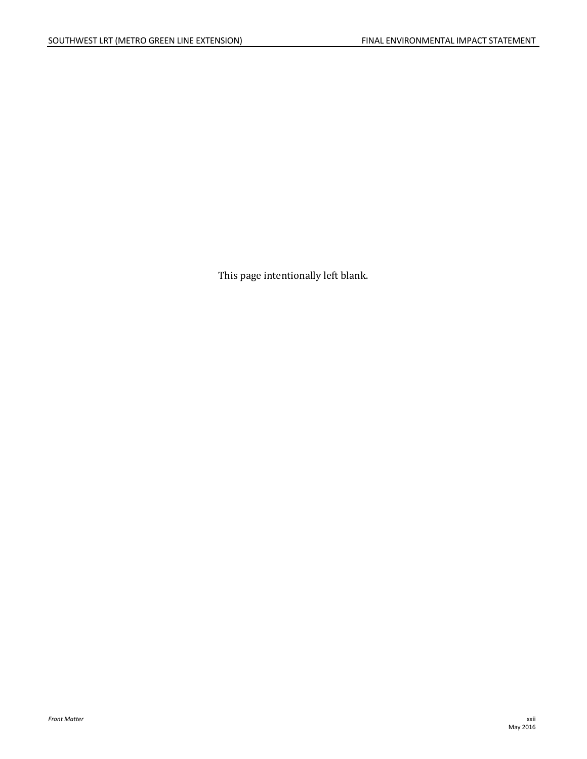This page intentionally left blank.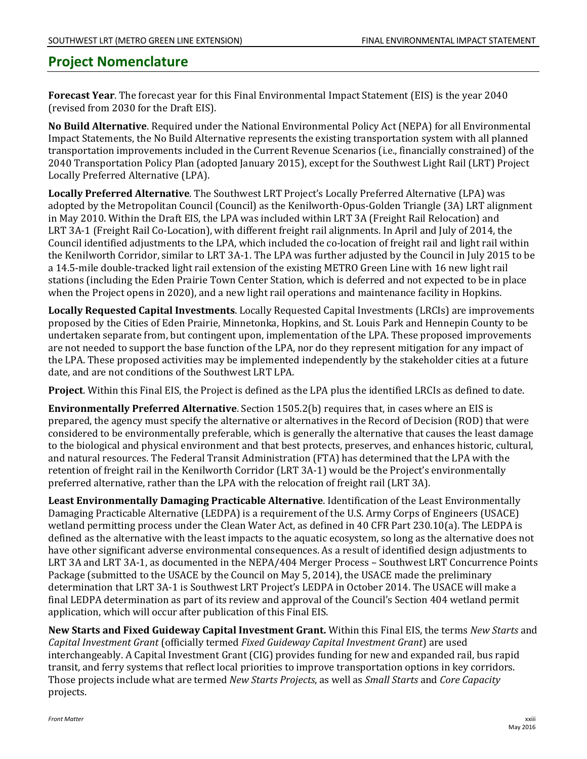# **Project Nomenclature**

**Forecast Year**. The forecast year for this Final Environmental Impact Statement (EIS) is the year 2040 (revised from 2030 for the Draft EIS).

**No Build Alternative**. Required under the National Environmental Policy Act (NEPA) for all Environmental Impact Statements, the No Build Alternative represents the existing transportation system with all planned transportation improvements included in the Current Revenue Scenarios (i.e., financially constrained) of the 2040 Transportation Policy Plan (adopted January 2015), except for the Southwest Light Rail (LRT) Project Locally Preferred Alternative (LPA).

**Locally Preferred Alternative**. The Southwest LRT Project's Locally Preferred Alternative (LPA) was adopted by the Metropolitan Council (Council) as the Kenilworth-Opus-Golden Triangle (3A) LRT alignment in May 2010. Within the Draft EIS, the LPA was included within LRT 3A (Freight Rail Relocation) and LRT 3A-1 (Freight Rail Co-Location), with different freight rail alignments. In April and July of 2014, the Council identified adjustments to the LPA, which included the co-location of freight rail and light rail within the Kenilworth Corridor, similar to LRT 3A-1. The LPA was further adjusted by the Council in July 2015 to be a 14.5-mile double-tracked light rail extension of the existing METRO Green Line with 16 new light rail stations (including the Eden Prairie Town Center Station, which is deferred and not expected to be in place when the Project opens in 2020), and a new light rail operations and maintenance facility in Hopkins.

**Locally Requested Capital Investments**. Locally Requested Capital Investments (LRCIs) are improvements proposed by the Cities of Eden Prairie, Minnetonka, Hopkins, and St. Louis Park and Hennepin County to be undertaken separate from, but contingent upon, implementation of the LPA. These proposed improvements are not needed to support the base function of the LPA, nor do they represent mitigation for any impact of the LPA. These proposed activities may be implemented independently by the stakeholder cities at a future date, and are not conditions of the Southwest LRT LPA.

**Project**. Within this Final EIS, the Project is defined as the LPA plus the identified LRCIs as defined to date.

**Environmentally Preferred Alternative**. Section 1505.2(b) requires that, in cases where an EIS is prepared, the agency must specify the alternative or alternatives in the Record of Decision (ROD) that were considered to be environmentally preferable, which is generally the alternative that causes the least damage to the biological and physical environment and that best protects, preserves, and enhances historic, cultural, and natural resources. The Federal Transit Administration (FTA) has determined that the LPA with the retention of freight rail in the Kenilworth Corridor (LRT 3A-1) would be the Project's environmentally preferred alternative, rather than the LPA with the relocation of freight rail (LRT 3A).

**Least Environmentally Damaging Practicable Alternative**. Identification of the Least Environmentally Damaging Practicable Alternative (LEDPA) is a requirement of the U.S. Army Corps of Engineers (USACE) wetland permitting process under the Clean Water Act, as defined in 40 CFR Part 230.10(a). The LEDPA is defined as the alternative with the least impacts to the aquatic ecosystem, so long as the alternative does not have other significant adverse environmental consequences. As a result of identified design adjustments to LRT 3A and LRT 3A-1, as documented in the NEPA/404 Merger Process – Southwest LRT Concurrence Points Package (submitted to the USACE by the Council on May 5, 2014), the USACE made the preliminary determination that LRT 3A-1 is Southwest LRT Project's LEDPA in October 2014. The USACE will make a final LEDPA determination as part of its review and approval of the Council's Section 404 wetland permit application, which will occur after publication of this Final EIS.

**New Starts and Fixed Guideway Capital Investment Grant.** Within this Final EIS, the terms *New Starts* and *Capital Investment Grant* (officially termed *Fixed Guideway Capital Investment Grant*) are used interchangeably. A Capital Investment Grant (CIG) provides funding for new and expanded rail, bus rapid transit, and ferry systems that reflect local priorities to improve transportation options in key corridors. Those projects include what are termed *New Starts Projects*, as well as *Small Starts* and *Core Capacity*  projects.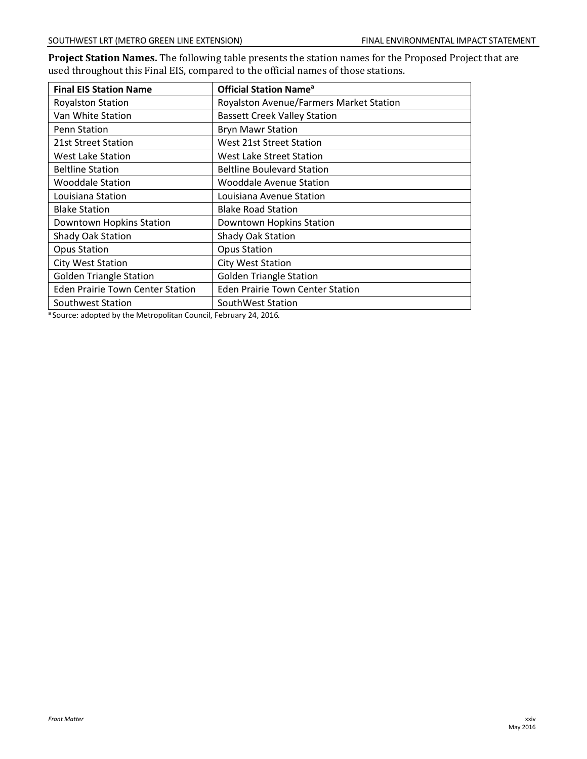**Project Station Names.** The following table presents the station names for the Proposed Project that are used throughout this Final EIS, compared to the official names of those stations.

| <b>Final EIS Station Name</b>    | <b>Official Station Name<sup>a</sup></b> |
|----------------------------------|------------------------------------------|
| <b>Royalston Station</b>         | Royalston Avenue/Farmers Market Station  |
| Van White Station                | <b>Bassett Creek Valley Station</b>      |
| Penn Station                     | <b>Bryn Mawr Station</b>                 |
| 21st Street Station              | West 21st Street Station                 |
| <b>West Lake Station</b>         | West Lake Street Station                 |
| <b>Beltline Station</b>          | <b>Beltline Boulevard Station</b>        |
| <b>Wooddale Station</b>          | <b>Wooddale Avenue Station</b>           |
| Louisiana Station                | Louisiana Avenue Station                 |
| <b>Blake Station</b>             | <b>Blake Road Station</b>                |
| Downtown Hopkins Station         | Downtown Hopkins Station                 |
| Shady Oak Station                | <b>Shady Oak Station</b>                 |
| <b>Opus Station</b>              | <b>Opus Station</b>                      |
| <b>City West Station</b>         | <b>City West Station</b>                 |
| <b>Golden Triangle Station</b>   | <b>Golden Triangle Station</b>           |
| Eden Prairie Town Center Station | <b>Eden Prairie Town Center Station</b>  |
| Southwest Station                | SouthWest Station                        |

a Source: adopted by the Metropolitan Council, February 24, 2016.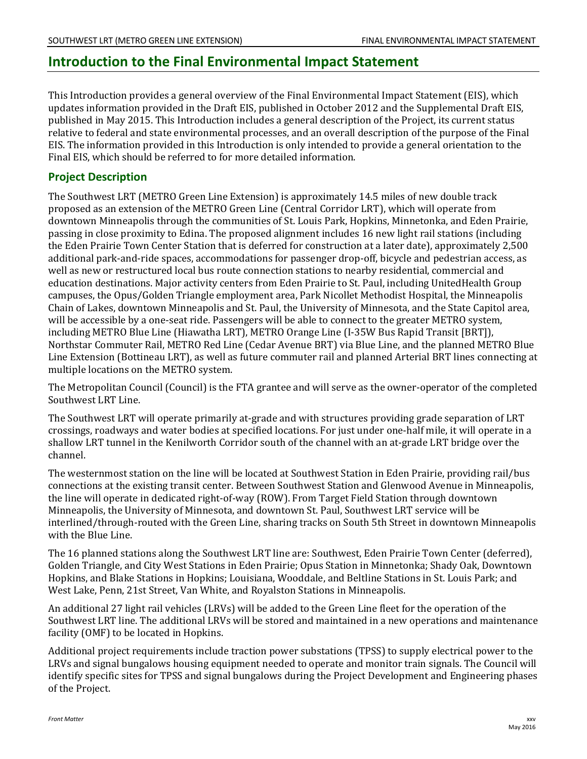# **Introduction to the Final Environmental Impact Statement**

This Introduction provides a general overview of the Final Environmental Impact Statement (EIS), which updates information provided in the Draft EIS, published in October 2012 and the Supplemental Draft EIS, published in May 2015. This Introduction includes a general description of the Project, its current status relative to federal and state environmental processes, and an overall description of the purpose of the Final EIS. The information provided in this Introduction is only intended to provide a general orientation to the Final EIS, which should be referred to for more detailed information.

# **Project Description**

The Southwest LRT (METRO Green Line Extension) is approximately 14.5 miles of new double track proposed as an extension of the METRO Green Line (Central Corridor LRT), which will operate from downtown Minneapolis through the communities of St. Louis Park, Hopkins, Minnetonka, and Eden Prairie, passing in close proximity to Edina. The proposed alignment includes 16 new light rail stations (including the Eden Prairie Town Center Station that is deferred for construction at a later date), approximately 2,500 additional park-and-ride spaces, accommodations for passenger drop-off, bicycle and pedestrian access, as well as new or restructured local bus route connection stations to nearby residential, commercial and education destinations. Major activity centers from Eden Prairie to St. Paul, including UnitedHealth Group campuses, the Opus/Golden Triangle employment area, Park Nicollet Methodist Hospital, the Minneapolis Chain of Lakes, downtown Minneapolis and St. Paul, the University of Minnesota, and the State Capitol area, will be accessible by a one-seat ride. Passengers will be able to connect to the greater METRO system, including METRO Blue Line (Hiawatha LRT), METRO Orange Line (I-35W Bus Rapid Transit [BRT]), Northstar Commuter Rail, METRO Red Line (Cedar Avenue BRT) via Blue Line, and the planned METRO Blue Line Extension (Bottineau LRT), as well as future commuter rail and planned Arterial BRT lines connecting at multiple locations on the METRO system.

The Metropolitan Council (Council) is the FTA grantee and will serve as the owner-operator of the completed Southwest LRT Line.

The Southwest LRT will operate primarily at-grade and with structures providing grade separation of LRT crossings, roadways and water bodies at specified locations. For just under one-half mile, it will operate in a shallow LRT tunnel in the Kenilworth Corridor south of the channel with an at-grade LRT bridge over the channel.

The westernmost station on the line will be located at Southwest Station in Eden Prairie, providing rail/bus connections at the existing transit center. Between Southwest Station and Glenwood Avenue in Minneapolis, the line will operate in dedicated right-of-way (ROW). From Target Field Station through downtown Minneapolis, the University of Minnesota, and downtown St. Paul, Southwest LRT service will be interlined/through-routed with the Green Line, sharing tracks on South 5th Street in downtown Minneapolis with the Blue Line.

The 16 planned stations along the Southwest LRT line are: Southwest, Eden Prairie Town Center (deferred), Golden Triangle, and City West Stations in Eden Prairie; Opus Station in Minnetonka; Shady Oak, Downtown Hopkins, and Blake Stations in Hopkins; Louisiana, Wooddale, and Beltline Stations in St. Louis Park; and West Lake, Penn, 21st Street, Van White, and Royalston Stations in Minneapolis.

An additional 27 light rail vehicles (LRVs) will be added to the Green Line fleet for the operation of the Southwest LRT line. The additional LRVs will be stored and maintained in a new operations and maintenance facility (OMF) to be located in Hopkins.

Additional project requirements include traction power substations (TPSS) to supply electrical power to the LRVs and signal bungalows housing equipment needed to operate and monitor train signals. The Council will identify specific sites for TPSS and signal bungalows during the Project Development and Engineering phases of the Project.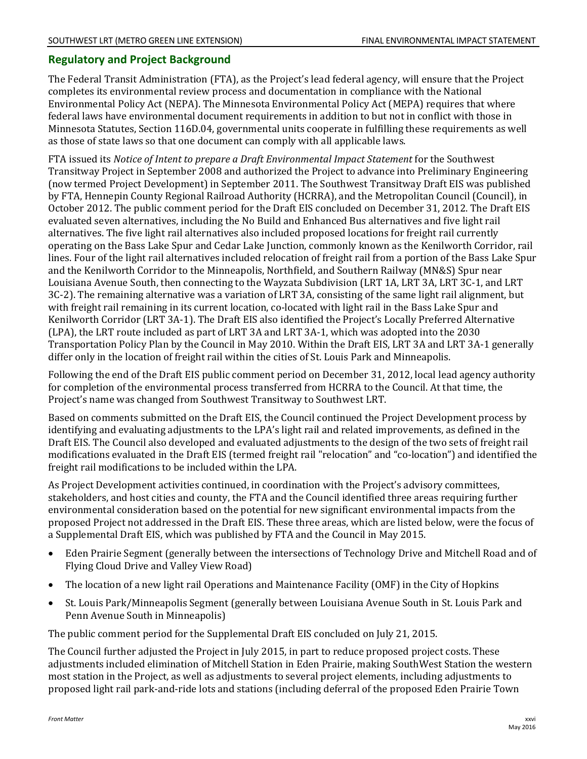# **Regulatory and Project Background**

The Federal Transit Administration (FTA), as the Project's lead federal agency, will ensure that the Project completes its environmental review process and documentation in compliance with the National Environmental Policy Act (NEPA). The Minnesota Environmental Policy Act (MEPA) requires that where federal laws have environmental document requirements in addition to but not in conflict with those in Minnesota Statutes, Section 116D.04, governmental units cooperate in fulfilling these requirements as well as those of state laws so that one document can comply with all applicable laws.

FTA issued its *Notice of Intent to prepare a Draft Environmental Impact Statement* for the Southwest Transitway Project in September 2008 and authorized the Project to advance into Preliminary Engineering (now termed Project Development) in September 2011. The Southwest Transitway Draft EIS was published by FTA, Hennepin County Regional Railroad Authority (HCRRA), and the Metropolitan Council (Council), in October 2012. The public comment period for the Draft EIS concluded on December 31, 2012. The Draft EIS evaluated seven alternatives, including the No Build and Enhanced Bus alternatives and five light rail alternatives. The five light rail alternatives also included proposed locations for freight rail currently operating on the Bass Lake Spur and Cedar Lake Junction, commonly known as the Kenilworth Corridor, rail lines. Four of the light rail alternatives included relocation of freight rail from a portion of the Bass Lake Spur and the Kenilworth Corridor to the Minneapolis, Northfield, and Southern Railway (MN&S) Spur near Louisiana Avenue South, then connecting to the Wayzata Subdivision (LRT 1A, LRT 3A, LRT 3C-1, and LRT 3C-2). The remaining alternative was a variation of LRT 3A, consisting of the same light rail alignment, but with freight rail remaining in its current location, co-located with light rail in the Bass Lake Spur and Kenilworth Corridor (LRT 3A-1). The Draft EIS also identified the Project's Locally Preferred Alternative (LPA), the LRT route included as part of LRT 3A and LRT 3A-1, which was adopted into the 2030 Transportation Policy Plan by the Council in May 2010. Within the Draft EIS, LRT 3A and LRT 3A-1 generally differ only in the location of freight rail within the cities of St. Louis Park and Minneapolis.

Following the end of the Draft EIS public comment period on December 31, 2012, local lead agency authority for completion of the environmental process transferred from HCRRA to the Council. At that time, the Project's name was changed from Southwest Transitway to Southwest LRT.

Based on comments submitted on the Draft EIS, the Council continued the Project Development process by identifying and evaluating adjustments to the LPA's light rail and related improvements, as defined in the Draft EIS. The Council also developed and evaluated adjustments to the design of the two sets of freight rail modifications evaluated in the Draft EIS (termed freight rail "relocation" and "co-location") and identified the freight rail modifications to be included within the LPA.

As Project Development activities continued, in coordination with the Project's advisory committees, stakeholders, and host cities and county, the FTA and the Council identified three areas requiring further environmental consideration based on the potential for new significant environmental impacts from the proposed Project not addressed in the Draft EIS. These three areas, which are listed below, were the focus of a Supplemental Draft EIS, which was published by FTA and the Council in May 2015.

- Eden Prairie Segment (generally between the intersections of Technology Drive and Mitchell Road and of Flying Cloud Drive and Valley View Road)
- The location of a new light rail Operations and Maintenance Facility (OMF) in the City of Hopkins
- $\bullet$ St. Louis Park/Minneapolis Segment (generally between Louisiana Avenue South in St. Louis Park and Penn Avenue South in Minneapolis)

The public comment period for the Supplemental Draft EIS concluded on July 21, 2015.

The Council further adjusted the Project in July 2015, in part to reduce proposed project costs. These adjustments included elimination of Mitchell Station in Eden Prairie, making SouthWest Station the western most station in the Project, as well as adjustments to several project elements, including adjustments to proposed light rail park-and-ride lots and stations (including deferral of the proposed Eden Prairie Town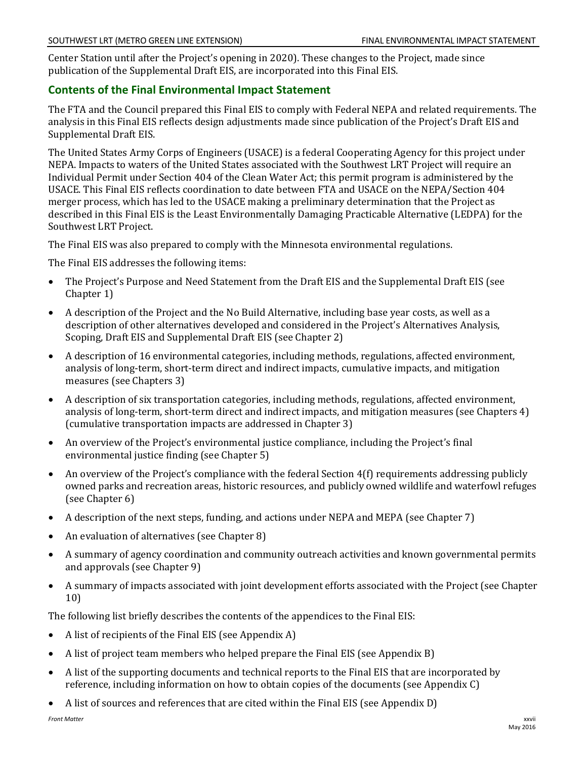Center Station until after the Project's opening in 2020). These changes to the Project, made since publication of the Supplemental Draft EIS, are incorporated into this Final EIS.

# **Contents of the Final Environmental Impact Statement**

The FTA and the Council prepared this Final EIS to comply with Federal NEPA and related requirements. The analysis in this Final EIS reflects design adjustments made since publication of the Project's Draft EIS and Supplemental Draft EIS.

The United States Army Corps of Engineers (USACE) is a federal Cooperating Agency for this project under NEPA. Impacts to waters of the United States associated with the Southwest LRT Project will require an Individual Permit under Section 404 of the Clean Water Act; this permit program is administered by the USACE. This Final EIS reflects coordination to date between FTA and USACE on the NEPA/Section 404 merger process, which has led to the USACE making a preliminary determination that the Project as described in this Final EIS is the Least Environmentally Damaging Practicable Alternative (LEDPA) for the Southwest LRT Project.

The Final EIS was also prepared to comply with the Minnesota environmental regulations.

The Final EIS addresses the following items:

- The Project's Purpose and Need Statement from the Draft EIS and the Supplemental Draft EIS (see Chapter 1)
- A description of the Project and the No Build Alternative, including base year costs, as well as a description of other alternatives developed and considered in the Project's Alternatives Analysis, Scoping, Draft EIS and Supplemental Draft EIS (see Chapter 2)
- A description of 16 environmental categories, including methods, regulations, affected environment, analysis of long-term, short-term direct and indirect impacts, cumulative impacts, and mitigation measures (see Chapters 3)
- A description of six transportation categories, including methods, regulations, affected environment, analysis of long-term, short-term direct and indirect impacts, and mitigation measures (see Chapters 4) (cumulative transportation impacts are addressed in Chapter 3)
- An overview of the Project's environmental justice compliance, including the Project's final environmental justice finding (see Chapter 5)
- An overview of the Project's compliance with the federal Section 4(f) requirements addressing publicly owned parks and recreation areas, historic resources, and publicly owned wildlife and waterfowl refuges (see Chapter 6)
- A description of the next steps, funding, and actions under NEPA and MEPA (see Chapter 7)
- An evaluation of alternatives (see Chapter 8)
- A summary of agency coordination and community outreach activities and known governmental permits and approvals (see Chapter 9)
- A summary of impacts associated with joint development efforts associated with the Project (see Chapter 10)

The following list briefly describes the contents of the appendices to the Final EIS:

- A list of recipients of the Final EIS (see Appendix A)
- A list of project team members who helped prepare the Final EIS (see Appendix B)
- $\bullet$ A list of the supporting documents and technical reports to the Final EIS that are incorporated by reference, including information on how to obtain copies of the documents (see Appendix C)
- A list of sources and references that are cited within the Final EIS (see Appendix D)

**Front Matter**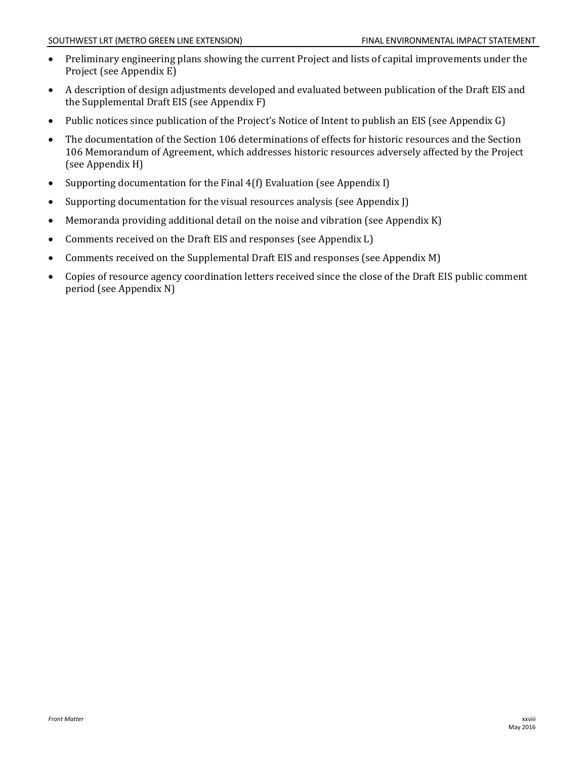- Preliminary engineering plans showing the current Project and lists of capital improvements under the Project (see Appendix E)
- $\bullet$ A description of design adjustments developed and evaluated between publication of the Draft EIS and the Supplemental Draft EIS (see Appendix F)
- $\bullet$ Public notices since publication of the Project's Notice of Intent to publish an EIS (see Appendix G)
- The documentation of the Section 106 determinations of effects for historic resources and the Section 106 Memorandum of Agreement, which addresses historic resources adversely affected by the Project (see Appendix H)
- Supporting documentation for the Final 4(f) Evaluation (see Appendix I)
- $\bullet$ Supporting documentation for the visual resources analysis (see Appendix J)
- $\bullet$ Memoranda providing additional detail on the noise and vibration (see Appendix K)
- $\bullet$ Comments received on the Draft EIS and responses (see Appendix L)
- Comments received on the Supplemental Draft EIS and responses (see Appendix M)
- Copies of resource agency coordination letters received since the close of the Draft EIS public comment period (see Appendix N)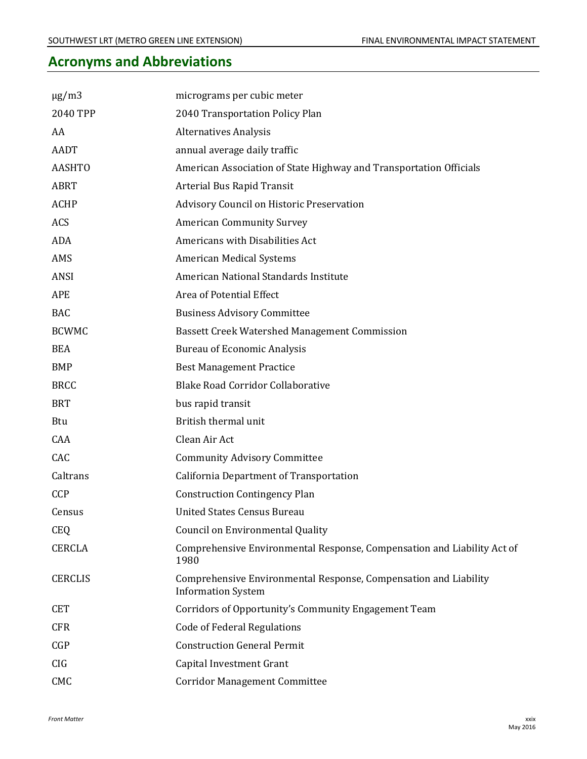# **Acronyms and Abbreviations**

| $\mu$ g/m3     | micrograms per cubic meter                                                                    |
|----------------|-----------------------------------------------------------------------------------------------|
| 2040 TPP       | 2040 Transportation Policy Plan                                                               |
| AA             | <b>Alternatives Analysis</b>                                                                  |
| AADT           | annual average daily traffic                                                                  |
| <b>AASHTO</b>  | American Association of State Highway and Transportation Officials                            |
| <b>ABRT</b>    | <b>Arterial Bus Rapid Transit</b>                                                             |
| <b>ACHP</b>    | Advisory Council on Historic Preservation                                                     |
| <b>ACS</b>     | <b>American Community Survey</b>                                                              |
| <b>ADA</b>     | Americans with Disabilities Act                                                               |
| AMS            | <b>American Medical Systems</b>                                                               |
| <b>ANSI</b>    | American National Standards Institute                                                         |
| APE            | Area of Potential Effect                                                                      |
| <b>BAC</b>     | <b>Business Advisory Committee</b>                                                            |
| <b>BCWMC</b>   | <b>Bassett Creek Watershed Management Commission</b>                                          |
| <b>BEA</b>     | <b>Bureau of Economic Analysis</b>                                                            |
| <b>BMP</b>     | <b>Best Management Practice</b>                                                               |
| <b>BRCC</b>    | <b>Blake Road Corridor Collaborative</b>                                                      |
| <b>BRT</b>     | bus rapid transit                                                                             |
| <b>Btu</b>     | British thermal unit                                                                          |
| CAA            | Clean Air Act                                                                                 |
| CAC            | <b>Community Advisory Committee</b>                                                           |
| Caltrans       | California Department of Transportation                                                       |
| CCP            | <b>Construction Contingency Plan</b>                                                          |
| Census         | <b>United States Census Bureau</b>                                                            |
| <b>CEQ</b>     | <b>Council on Environmental Quality</b>                                                       |
| <b>CERCLA</b>  | Comprehensive Environmental Response, Compensation and Liability Act of<br>1980               |
| <b>CERCLIS</b> | Comprehensive Environmental Response, Compensation and Liability<br><b>Information System</b> |
| <b>CET</b>     | Corridors of Opportunity's Community Engagement Team                                          |
| <b>CFR</b>     | <b>Code of Federal Regulations</b>                                                            |
| <b>CGP</b>     | <b>Construction General Permit</b>                                                            |
| <b>CIG</b>     | Capital Investment Grant                                                                      |
| <b>CMC</b>     | <b>Corridor Management Committee</b>                                                          |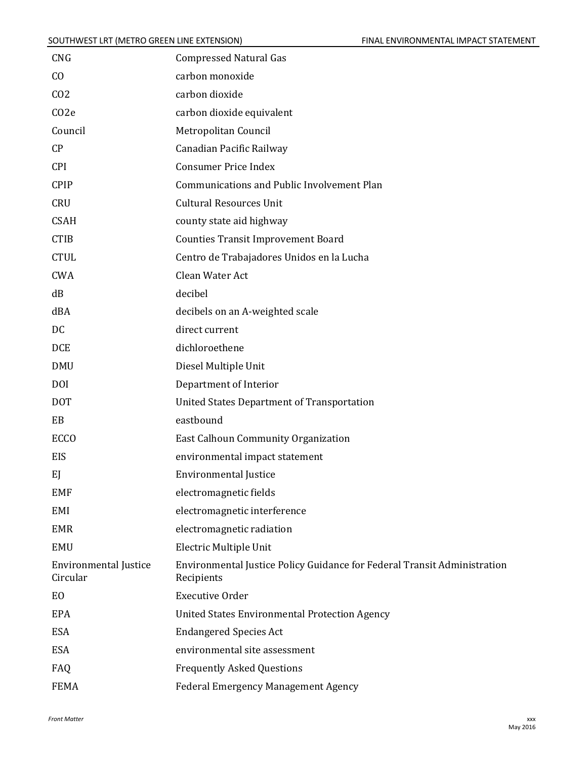| <b>CNG</b>                               | <b>Compressed Natural Gas</b>                                                          |
|------------------------------------------|----------------------------------------------------------------------------------------|
| CO                                       | carbon monoxide                                                                        |
| CO <sub>2</sub>                          | carbon dioxide                                                                         |
| CO <sub>2</sub> e                        | carbon dioxide equivalent                                                              |
| Council                                  | Metropolitan Council                                                                   |
| CP                                       | Canadian Pacific Railway                                                               |
| <b>CPI</b>                               | <b>Consumer Price Index</b>                                                            |
| <b>CPIP</b>                              | Communications and Public Involvement Plan                                             |
| <b>CRU</b>                               | <b>Cultural Resources Unit</b>                                                         |
| <b>CSAH</b>                              | county state aid highway                                                               |
| <b>CTIB</b>                              | <b>Counties Transit Improvement Board</b>                                              |
| <b>CTUL</b>                              | Centro de Trabajadores Unidos en la Lucha                                              |
| <b>CWA</b>                               | Clean Water Act                                                                        |
| dB                                       | decibel                                                                                |
| dBA                                      | decibels on an A-weighted scale                                                        |
| DC                                       | direct current                                                                         |
| <b>DCE</b>                               | dichloroethene                                                                         |
| <b>DMU</b>                               | Diesel Multiple Unit                                                                   |
| <b>DOI</b>                               | Department of Interior                                                                 |
| <b>DOT</b>                               | <b>United States Department of Transportation</b>                                      |
| EB                                       | eastbound                                                                              |
| <b>ECCO</b>                              | East Calhoun Community Organization                                                    |
| <b>EIS</b>                               | environmental impact statement                                                         |
| EJ                                       | <b>Environmental Justice</b>                                                           |
| <b>EMF</b>                               | electromagnetic fields                                                                 |
| EMI                                      | electromagnetic interference                                                           |
| <b>EMR</b>                               | electromagnetic radiation                                                              |
| <b>EMU</b>                               | Electric Multiple Unit                                                                 |
| <b>Environmental Justice</b><br>Circular | Environmental Justice Policy Guidance for Federal Transit Administration<br>Recipients |
| EO                                       | <b>Executive Order</b>                                                                 |
| <b>EPA</b>                               | <b>United States Environmental Protection Agency</b>                                   |
| <b>ESA</b>                               | <b>Endangered Species Act</b>                                                          |
| <b>ESA</b>                               | environmental site assessment                                                          |
| FAQ                                      | <b>Frequently Asked Questions</b>                                                      |
| <b>FEMA</b>                              | <b>Federal Emergency Management Agency</b>                                             |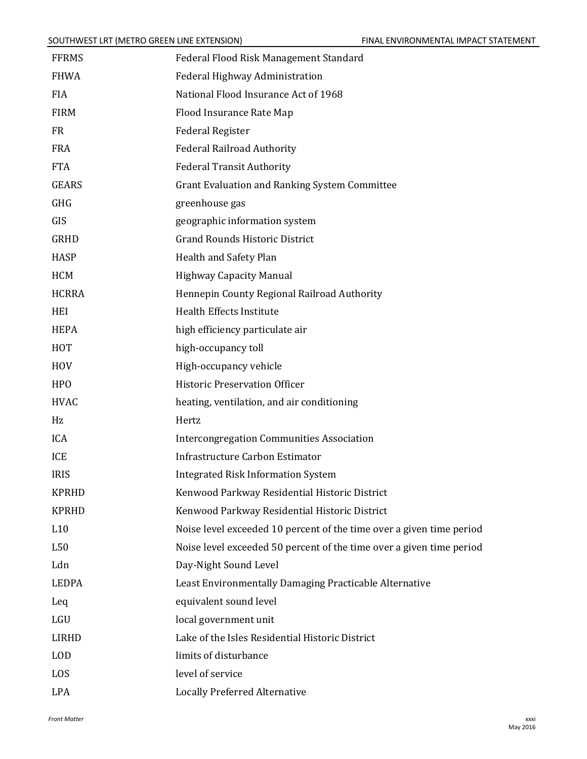| <b>FFRMS</b> | Federal Flood Risk Management Standard                               |
|--------------|----------------------------------------------------------------------|
| <b>FHWA</b>  | Federal Highway Administration                                       |
| <b>FIA</b>   | National Flood Insurance Act of 1968                                 |
| <b>FIRM</b>  | Flood Insurance Rate Map                                             |
| <b>FR</b>    | <b>Federal Register</b>                                              |
| <b>FRA</b>   | <b>Federal Railroad Authority</b>                                    |
| <b>FTA</b>   | <b>Federal Transit Authority</b>                                     |
| <b>GEARS</b> | <b>Grant Evaluation and Ranking System Committee</b>                 |
| GHG          | greenhouse gas                                                       |
| GIS          | geographic information system                                        |
| <b>GRHD</b>  | <b>Grand Rounds Historic District</b>                                |
| <b>HASP</b>  | Health and Safety Plan                                               |
| <b>HCM</b>   | <b>Highway Capacity Manual</b>                                       |
| <b>HCRRA</b> | Hennepin County Regional Railroad Authority                          |
| HEI          | <b>Health Effects Institute</b>                                      |
| <b>HEPA</b>  | high efficiency particulate air                                      |
| HOT          | high-occupancy toll                                                  |
| HOV          | High-occupancy vehicle                                               |
| <b>HPO</b>   | <b>Historic Preservation Officer</b>                                 |
| <b>HVAC</b>  | heating, ventilation, and air conditioning                           |
| Hz           | Hertz                                                                |
| ICA          | <b>Intercongregation Communities Association</b>                     |
| ICE          | <b>Infrastructure Carbon Estimator</b>                               |
| <b>IRIS</b>  | <b>Integrated Risk Information System</b>                            |
| <b>KPRHD</b> | Kenwood Parkway Residential Historic District                        |
| <b>KPRHD</b> | Kenwood Parkway Residential Historic District                        |
| L10          | Noise level exceeded 10 percent of the time over a given time period |
| L50          | Noise level exceeded 50 percent of the time over a given time period |
| Ldn          | Day-Night Sound Level                                                |
| <b>LEDPA</b> | Least Environmentally Damaging Practicable Alternative               |
| Leq          | equivalent sound level                                               |
| LGU          | local government unit                                                |
| <b>LIRHD</b> | Lake of the Isles Residential Historic District                      |
| <b>LOD</b>   | limits of disturbance                                                |
| LOS          | level of service                                                     |
| <b>LPA</b>   | <b>Locally Preferred Alternative</b>                                 |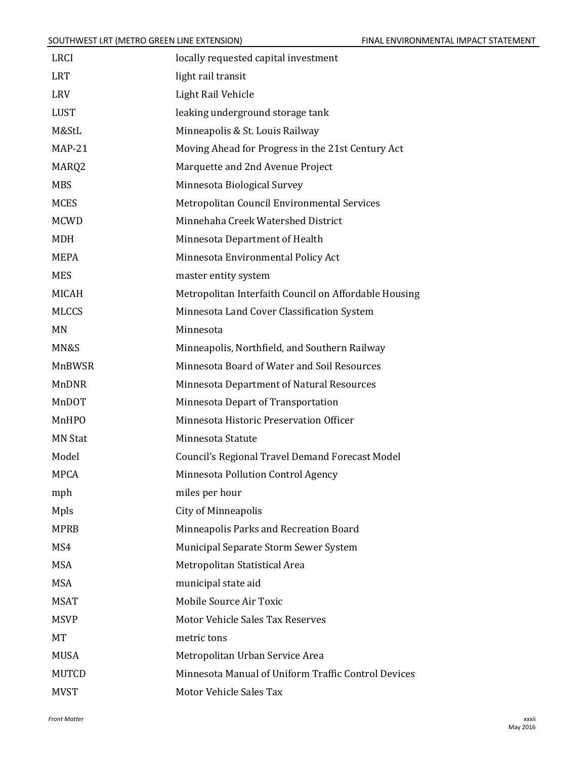| <b>LRCI</b>    | locally requested capital investment                  |
|----------------|-------------------------------------------------------|
| <b>LRT</b>     | light rail transit                                    |
| <b>LRV</b>     | Light Rail Vehicle                                    |
| <b>LUST</b>    | leaking underground storage tank                      |
| M&StL          | Minneapolis & St. Louis Railway                       |
| <b>MAP-21</b>  | Moving Ahead for Progress in the 21st Century Act     |
| MARQ2          | Marquette and 2nd Avenue Project                      |
| <b>MBS</b>     | Minnesota Biological Survey                           |
| <b>MCES</b>    | Metropolitan Council Environmental Services           |
| <b>MCWD</b>    | Minnehaha Creek Watershed District                    |
| <b>MDH</b>     | Minnesota Department of Health                        |
| <b>MEPA</b>    | Minnesota Environmental Policy Act                    |
| <b>MES</b>     | master entity system                                  |
| <b>MICAH</b>   | Metropolitan Interfaith Council on Affordable Housing |
| <b>MLCCS</b>   | Minnesota Land Cover Classification System            |
| MN             | Minnesota                                             |
| MN&S           | Minneapolis, Northfield, and Southern Railway         |
| MnBWSR         | Minnesota Board of Water and Soil Resources           |
| <b>MnDNR</b>   | Minnesota Department of Natural Resources             |
| MnDOT          | Minnesota Depart of Transportation                    |
| MnHPO          | Minnesota Historic Preservation Officer               |
| <b>MN Stat</b> | Minnesota Statute                                     |
| Model          | Council's Regional Travel Demand Forecast Model       |
| <b>MPCA</b>    | Minnesota Pollution Control Agency                    |
| mph            | miles per hour                                        |
| Mpls           | <b>City of Minneapolis</b>                            |
| <b>MPRB</b>    | Minneapolis Parks and Recreation Board                |
| MS4            | Municipal Separate Storm Sewer System                 |
| <b>MSA</b>     | Metropolitan Statistical Area                         |
| <b>MSA</b>     | municipal state aid                                   |
| <b>MSAT</b>    | Mobile Source Air Toxic                               |
| <b>MSVP</b>    | Motor Vehicle Sales Tax Reserves                      |
| МT             | metric tons                                           |
| <b>MUSA</b>    | Metropolitan Urban Service Area                       |
| <b>MUTCD</b>   | Minnesota Manual of Uniform Traffic Control Devices   |
| <b>MVST</b>    | Motor Vehicle Sales Tax                               |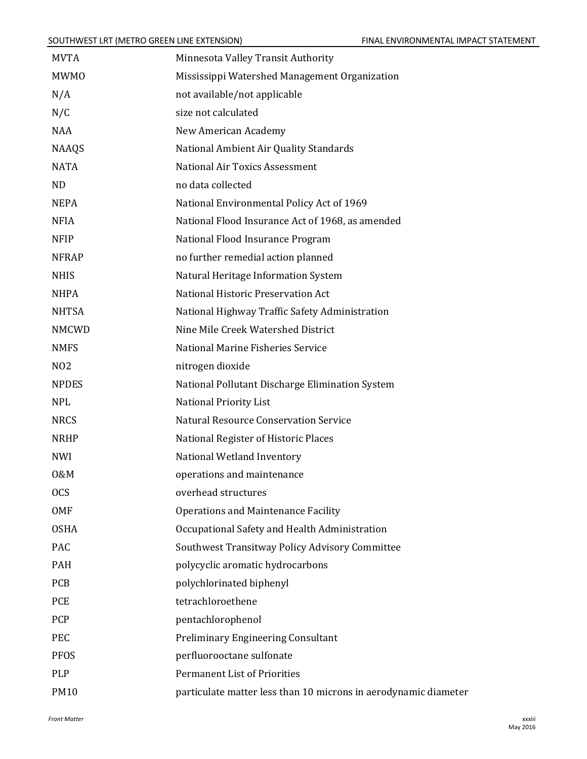| <b>MVTA</b>      | Minnesota Valley Transit Authority                              |
|------------------|-----------------------------------------------------------------|
| <b>MWMO</b>      | Mississippi Watershed Management Organization                   |
| N/A              | not available/not applicable                                    |
| N/C              | size not calculated                                             |
| <b>NAA</b>       | New American Academy                                            |
| <b>NAAQS</b>     | National Ambient Air Quality Standards                          |
| <b>NATA</b>      | <b>National Air Toxics Assessment</b>                           |
| ND               | no data collected                                               |
| <b>NEPA</b>      | National Environmental Policy Act of 1969                       |
| <b>NFIA</b>      | National Flood Insurance Act of 1968, as amended                |
| <b>NFIP</b>      | National Flood Insurance Program                                |
| <b>NFRAP</b>     | no further remedial action planned                              |
| <b>NHIS</b>      | Natural Heritage Information System                             |
| <b>NHPA</b>      | National Historic Preservation Act                              |
| <b>NHTSA</b>     | National Highway Traffic Safety Administration                  |
| <b>NMCWD</b>     | Nine Mile Creek Watershed District                              |
| <b>NMFS</b>      | National Marine Fisheries Service                               |
| N <sub>0</sub> 2 | nitrogen dioxide                                                |
| <b>NPDES</b>     | National Pollutant Discharge Elimination System                 |
| <b>NPL</b>       | <b>National Priority List</b>                                   |
| <b>NRCS</b>      | <b>Natural Resource Conservation Service</b>                    |
| <b>NRHP</b>      | National Register of Historic Places                            |
| <b>NWI</b>       | National Wetland Inventory                                      |
| 0&M              | operations and maintenance                                      |
| <b>OCS</b>       | overhead structures                                             |
| <b>OMF</b>       | Operations and Maintenance Facility                             |
| <b>OSHA</b>      | Occupational Safety and Health Administration                   |
| <b>PAC</b>       | Southwest Transitway Policy Advisory Committee                  |
| PAH              | polycyclic aromatic hydrocarbons                                |
| <b>PCB</b>       | polychlorinated biphenyl                                        |
| <b>PCE</b>       | tetrachloroethene                                               |
| <b>PCP</b>       | pentachlorophenol                                               |
| <b>PEC</b>       | Preliminary Engineering Consultant                              |
| <b>PFOS</b>      | perfluorooctane sulfonate                                       |
| <b>PLP</b>       | <b>Permanent List of Priorities</b>                             |
| <b>PM10</b>      | particulate matter less than 10 microns in aerodynamic diameter |
|                  |                                                                 |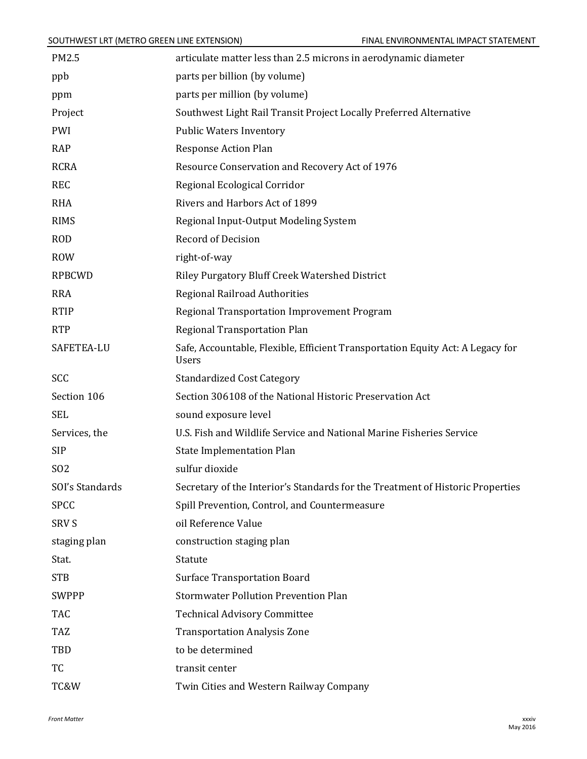| PM2.5            | articulate matter less than 2.5 microns in aerodynamic diameter                                |
|------------------|------------------------------------------------------------------------------------------------|
| ppb              | parts per billion (by volume)                                                                  |
| ppm              | parts per million (by volume)                                                                  |
| Project          | Southwest Light Rail Transit Project Locally Preferred Alternative                             |
| <b>PWI</b>       | <b>Public Waters Inventory</b>                                                                 |
| <b>RAP</b>       | <b>Response Action Plan</b>                                                                    |
| <b>RCRA</b>      | Resource Conservation and Recovery Act of 1976                                                 |
| <b>REC</b>       | Regional Ecological Corridor                                                                   |
| <b>RHA</b>       | Rivers and Harbors Act of 1899                                                                 |
| <b>RIMS</b>      | Regional Input-Output Modeling System                                                          |
| <b>ROD</b>       | Record of Decision                                                                             |
| <b>ROW</b>       | right-of-way                                                                                   |
| <b>RPBCWD</b>    | Riley Purgatory Bluff Creek Watershed District                                                 |
| <b>RRA</b>       | <b>Regional Railroad Authorities</b>                                                           |
| <b>RTIP</b>      | Regional Transportation Improvement Program                                                    |
| <b>RTP</b>       | <b>Regional Transportation Plan</b>                                                            |
| SAFETEA-LU       | Safe, Accountable, Flexible, Efficient Transportation Equity Act: A Legacy for<br><b>Users</b> |
| <b>SCC</b>       | <b>Standardized Cost Category</b>                                                              |
| Section 106      | Section 306108 of the National Historic Preservation Act                                       |
| <b>SEL</b>       | sound exposure level                                                                           |
| Services, the    | U.S. Fish and Wildlife Service and National Marine Fisheries Service                           |
| <b>SIP</b>       | <b>State Implementation Plan</b>                                                               |
| S <sub>0</sub> 2 | sulfur dioxide                                                                                 |
| SOI's Standards  | Secretary of the Interior's Standards for the Treatment of Historic Properties                 |
| <b>SPCC</b>      | Spill Prevention, Control, and Countermeasure                                                  |
| SRV S            | oil Reference Value                                                                            |
| staging plan     | construction staging plan                                                                      |
| Stat.            | Statute                                                                                        |
| <b>STB</b>       | <b>Surface Transportation Board</b>                                                            |
| <b>SWPPP</b>     | <b>Stormwater Pollution Prevention Plan</b>                                                    |
| <b>TAC</b>       | <b>Technical Advisory Committee</b>                                                            |
| TAZ              | <b>Transportation Analysis Zone</b>                                                            |
| TBD              | to be determined                                                                               |
| TC               | transit center                                                                                 |
| TC&W             | Twin Cities and Western Railway Company                                                        |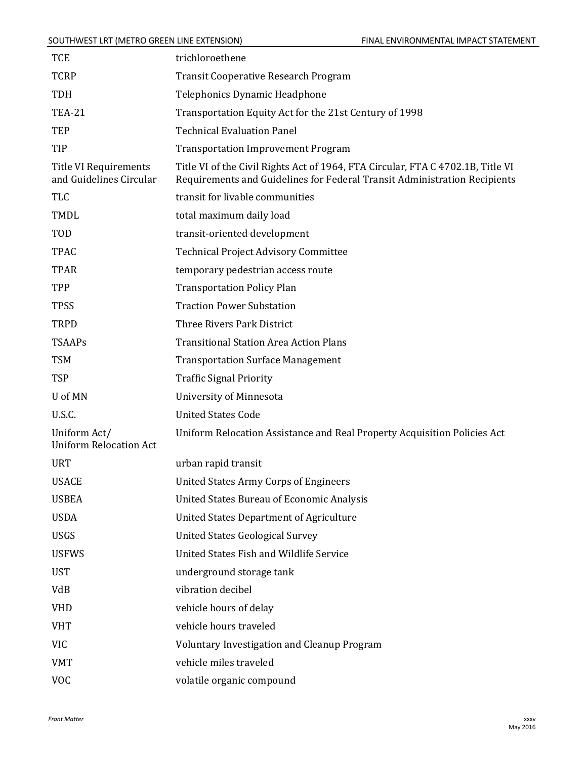| TCE                                              | trichloroethene                                                                                                                                              |
|--------------------------------------------------|--------------------------------------------------------------------------------------------------------------------------------------------------------------|
| <b>TCRP</b>                                      | <b>Transit Cooperative Research Program</b>                                                                                                                  |
| <b>TDH</b>                                       | Telephonics Dynamic Headphone                                                                                                                                |
| <b>TEA-21</b>                                    | Transportation Equity Act for the 21st Century of 1998                                                                                                       |
| TEP                                              | <b>Technical Evaluation Panel</b>                                                                                                                            |
| TIP                                              | <b>Transportation Improvement Program</b>                                                                                                                    |
| Title VI Requirements<br>and Guidelines Circular | Title VI of the Civil Rights Act of 1964, FTA Circular, FTA C 4702.1B, Title VI<br>Requirements and Guidelines for Federal Transit Administration Recipients |
| <b>TLC</b>                                       | transit for livable communities                                                                                                                              |
| TMDL                                             | total maximum daily load                                                                                                                                     |
| <b>TOD</b>                                       | transit-oriented development                                                                                                                                 |
| <b>TPAC</b>                                      | <b>Technical Project Advisory Committee</b>                                                                                                                  |
| <b>TPAR</b>                                      | temporary pedestrian access route                                                                                                                            |
| TPP                                              | <b>Transportation Policy Plan</b>                                                                                                                            |
| <b>TPSS</b>                                      | <b>Traction Power Substation</b>                                                                                                                             |
| <b>TRPD</b>                                      | Three Rivers Park District                                                                                                                                   |
| <b>TSAAPs</b>                                    | <b>Transitional Station Area Action Plans</b>                                                                                                                |
| <b>TSM</b>                                       | <b>Transportation Surface Management</b>                                                                                                                     |
| TSP                                              | <b>Traffic Signal Priority</b>                                                                                                                               |
| U of MN                                          | University of Minnesota                                                                                                                                      |
| U.S.C.                                           | <b>United States Code</b>                                                                                                                                    |
| Uniform Act/<br><b>Uniform Relocation Act</b>    | Uniform Relocation Assistance and Real Property Acquisition Policies Act                                                                                     |
| <b>URT</b>                                       | urban rapid transit                                                                                                                                          |
| <b>USACE</b>                                     | <b>United States Army Corps of Engineers</b>                                                                                                                 |
| <b>USBEA</b>                                     | United States Bureau of Economic Analysis                                                                                                                    |
| <b>USDA</b>                                      | <b>United States Department of Agriculture</b>                                                                                                               |
| <b>USGS</b>                                      | <b>United States Geological Survey</b>                                                                                                                       |
| <b>USFWS</b>                                     | United States Fish and Wildlife Service                                                                                                                      |
| <b>UST</b>                                       | underground storage tank                                                                                                                                     |
| VdB                                              | vibration decibel                                                                                                                                            |
| <b>VHD</b>                                       | vehicle hours of delay                                                                                                                                       |
| <b>VHT</b>                                       | vehicle hours traveled                                                                                                                                       |
| <b>VIC</b>                                       | Voluntary Investigation and Cleanup Program                                                                                                                  |
| <b>VMT</b>                                       | vehicle miles traveled                                                                                                                                       |
| <b>VOC</b>                                       | volatile organic compound                                                                                                                                    |